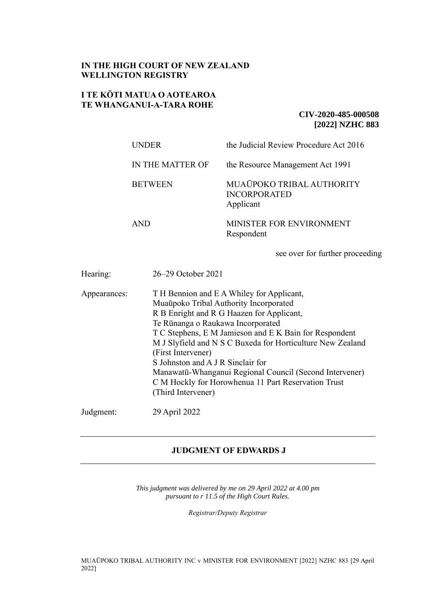# **IN THE HIGH COURT OF NEW ZEALAND WELLINGTON REGISTRY**

## **I TE KŌTI MATUA O AOTEAROA TE WHANGANUI-A-TARA ROHE**

# **CIV-2020-485-000508 [2022] NZHC 883**

| <b>INDER</b>     | the Judicial Review Procedure Act 2016                        |
|------------------|---------------------------------------------------------------|
| IN THE MATTER OF | the Resource Management Act 1991                              |
| <b>BETWEEN</b>   | MUAŪPOKO TRIBAL AUTHORITY<br><b>INCORPORATED</b><br>Applicant |
| <b>AND</b>       | MINISTER FOR ENVIRONMENT<br>Respondent                        |
|                  | see over for further proceeding                               |

| Hearing:     | 26–29 October 2021                                                                                                                                                                                                                                                                                                                                                                                                                                                                               |
|--------------|--------------------------------------------------------------------------------------------------------------------------------------------------------------------------------------------------------------------------------------------------------------------------------------------------------------------------------------------------------------------------------------------------------------------------------------------------------------------------------------------------|
| Appearances: | T H Bennion and E A Whiley for Applicant,<br>Muaūpoko Tribal Authority Incorporated<br>R B Enright and R G Haazen for Applicant,<br>Te Rūnanga o Raukawa Incorporated<br>T C Stephens, E M Jamieson and E K Bain for Respondent<br>M J Slyfield and N S C Buxeda for Horticulture New Zealand<br>(First Intervener)<br>S Johnston and A J R Sinclair for<br>Manawatū-Whanganui Regional Council (Second Intervener)<br>C M Hockly for Horowhenua 11 Part Reservation Trust<br>(Third Intervener) |
| Judgment:    | 29 April 2022                                                                                                                                                                                                                                                                                                                                                                                                                                                                                    |

# **JUDGMENT OF EDWARDS J**

*This judgment was delivered by me on 29 April 2022 at 4.00 pm pursuant to r 11.5 of the High Court Rules.*

*Registrar/Deputy Registrar*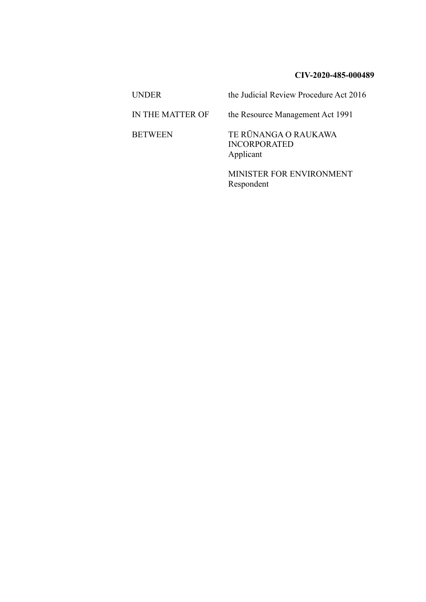## **CIV-2020-485-000489**

UNDER the Judicial Review Procedure Act 2016 IN THE MATTER OF the Resource Management Act 1991 BETWEEN TE RŪNANGA O RAUKAWA INCORPORATED Applicant MINISTER FOR ENVIRONMENT

Respondent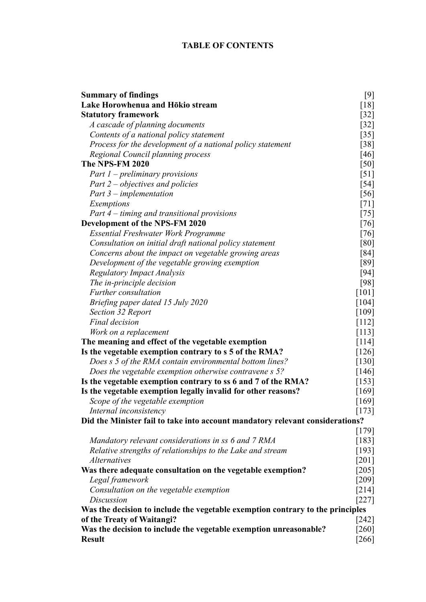| <b>Summary of findings</b>                                                     | $[9]$              |
|--------------------------------------------------------------------------------|--------------------|
| Lake Horowhenua and Hōkio stream                                               | $[18]$             |
| <b>Statutory framework</b>                                                     | $[32]$             |
| A cascade of planning documents                                                | $[32]$             |
| Contents of a national policy statement                                        | $[35]$             |
| Process for the development of a national policy statement                     | [38]               |
| Regional Council planning process                                              | [46]               |
| <b>The NPS-FM 2020</b>                                                         | [50]               |
| Part $1$ – preliminary provisions                                              | [51]               |
| Part $2$ – objectives and policies                                             | $[54]$             |
| Part $3$ – implementation                                                      | [56]               |
| Exemptions                                                                     | $[71]$             |
| Part 4 – timing and transitional provisions                                    | [75]               |
| <b>Development of the NPS-FM 2020</b>                                          | [76]               |
| <b>Essential Freshwater Work Programme</b>                                     | $[76]$             |
| Consultation on initial draft national policy statement                        | [80]               |
| Concerns about the impact on vegetable growing areas                           | [84]               |
| Development of the vegetable growing exemption                                 | [89]               |
| <b>Regulatory Impact Analysis</b>                                              | $[94]$             |
| The in-principle decision                                                      | [98]               |
| <b>Further</b> consultation                                                    | $[101]$            |
| Briefing paper dated 15 July 2020                                              | [104]              |
| Section 32 Report                                                              | $[109]$            |
| Final decision                                                                 | $[112]$            |
| Work on a replacement                                                          | [113]              |
| The meaning and effect of the vegetable exemption                              | [114]              |
| Is the vegetable exemption contrary to s 5 of the RMA?                         | [126]              |
| Does s 5 of the RMA contain environmental bottom lines?                        | $[130]$            |
| Does the vegetable exemption otherwise contravene s 5?                         | [146]              |
| Is the vegetable exemption contrary to ss 6 and 7 of the RMA?                  | [153]              |
| Is the vegetable exemption legally invalid for other reasons?                  | [169]              |
| Scope of the vegetable exemption                                               | [169]              |
| Internal inconsistency                                                         | [173]              |
| Did the Minister fail to take into account mandatory relevant considerations?  |                    |
|                                                                                | $[179]$            |
| Mandatory relevant considerations in ss 6 and 7 RMA                            | [183]              |
| Relative strengths of relationships to the Lake and stream                     | $[193]$            |
| <i>Alternatives</i>                                                            | $[201]$            |
| Was there adequate consultation on the vegetable exemption?                    | $[205]$            |
| Legal framework                                                                | $[209]$            |
| Consultation on the vegetable exemption                                        | $[214]$            |
| <b>Discussion</b>                                                              | $[227]$            |
| Was the decision to include the vegetable exemption contrary to the principles |                    |
| of the Treaty of Waitangi?                                                     | $\left[242\right]$ |
| Was the decision to include the vegetable exemption unreasonable?              | [260]              |
| <b>Result</b>                                                                  | $[266]$            |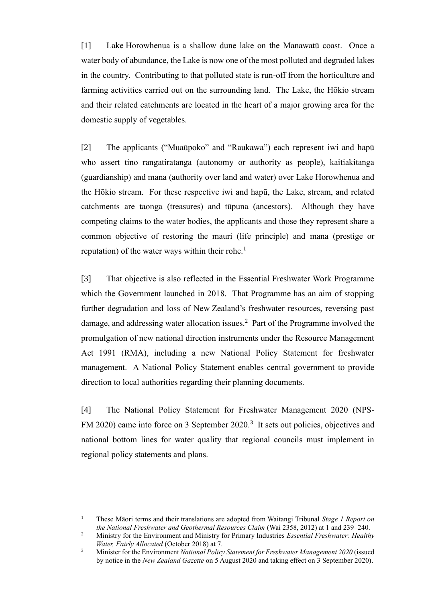[1] Lake Horowhenua is a shallow dune lake on the Manawatū coast. Once a water body of abundance, the Lake is now one of the most polluted and degraded lakes in the country. Contributing to that polluted state is run-off from the horticulture and farming activities carried out on the surrounding land. The Lake, the Hōkio stream and their related catchments are located in the heart of a major growing area for the domestic supply of vegetables.

[2] The applicants ("Muaūpoko" and "Raukawa") each represent iwi and hapū who assert tino rangatiratanga (autonomy or authority as people), kaitiakitanga (guardianship) and mana (authority over land and water) over Lake Horowhenua and the Hōkio stream. For these respective iwi and hapū, the Lake, stream, and related catchments are taonga (treasures) and tūpuna (ancestors). Although they have competing claims to the water bodies, the applicants and those they represent share a common objective of restoring the mauri (life principle) and mana (prestige or reputation) of the water ways within their rohe.<sup>1</sup>

[3] That objective is also reflected in the Essential Freshwater Work Programme which the Government launched in 2018. That Programme has an aim of stopping further degradation and loss of New Zealand's freshwater resources, reversing past damage, and addressing water allocation issues.<sup>2</sup> Part of the Programme involved the promulgation of new national direction instruments under the Resource Management Act 1991 (RMA), including a new National Policy Statement for freshwater management. A National Policy Statement enables central government to provide direction to local authorities regarding their planning documents.

[4] The National Policy Statement for Freshwater Management 2020 (NPS-FM 2020) came into force on 3 September 2020.<sup>3</sup> It sets out policies, objectives and national bottom lines for water quality that regional councils must implement in regional policy statements and plans.

<sup>1</sup> These Māori terms and their translations are adopted from Waitangi Tribunal *Stage 1 Report on the National Freshwater and Geothermal Resources Claim* (Wai 2358, 2012) at 1 and 239–240.

<sup>2</sup> Ministry for the Environment and Ministry for Primary Industries *Essential Freshwater: Healthy Water, Fairly Allocated* (October 2018) at 7.

<sup>3</sup> Minister for the Environment *National Policy Statement for Freshwater Management 2020* (issued by notice in the *New Zealand Gazette* on 5 August 2020 and taking effect on 3 September 2020).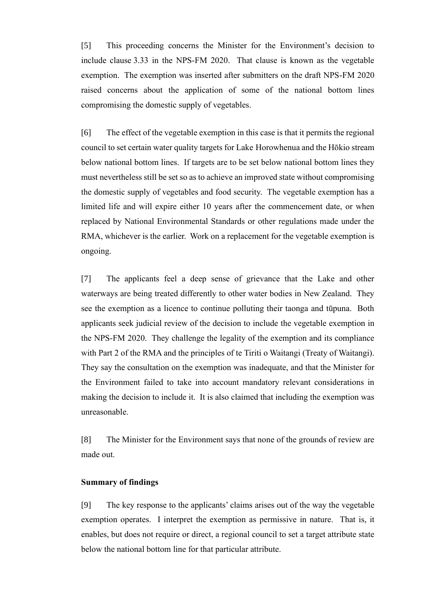[5] This proceeding concerns the Minister for the Environment's decision to include clause 3.33 in the NPS-FM 2020. That clause is known as the vegetable exemption. The exemption was inserted after submitters on the draft NPS-FM 2020 raised concerns about the application of some of the national bottom lines compromising the domestic supply of vegetables.

[6] The effect of the vegetable exemption in this case is that it permits the regional council to set certain water quality targets for Lake Horowhenua and the Hōkio stream below national bottom lines. If targets are to be set below national bottom lines they must nevertheless still be set so as to achieve an improved state without compromising the domestic supply of vegetables and food security. The vegetable exemption has a limited life and will expire either 10 years after the commencement date, or when replaced by National Environmental Standards or other regulations made under the RMA, whichever is the earlier. Work on a replacement for the vegetable exemption is ongoing.

[7] The applicants feel a deep sense of grievance that the Lake and other waterways are being treated differently to other water bodies in New Zealand. They see the exemption as a licence to continue polluting their taonga and tūpuna. Both applicants seek judicial review of the decision to include the vegetable exemption in the NPS-FM 2020. They challenge the legality of the exemption and its compliance with Part 2 of the RMA and the principles of te Tiriti o Waitangi (Treaty of Waitangi). They say the consultation on the exemption was inadequate, and that the Minister for the Environment failed to take into account mandatory relevant considerations in making the decision to include it. It is also claimed that including the exemption was unreasonable.

[8] The Minister for the Environment says that none of the grounds of review are made out.

## <span id="page-4-0"></span>**Summary of findings**

[9] The key response to the applicants' claims arises out of the way the vegetable exemption operates. I interpret the exemption as permissive in nature. That is, it enables, but does not require or direct, a regional council to set a target attribute state below the national bottom line for that particular attribute.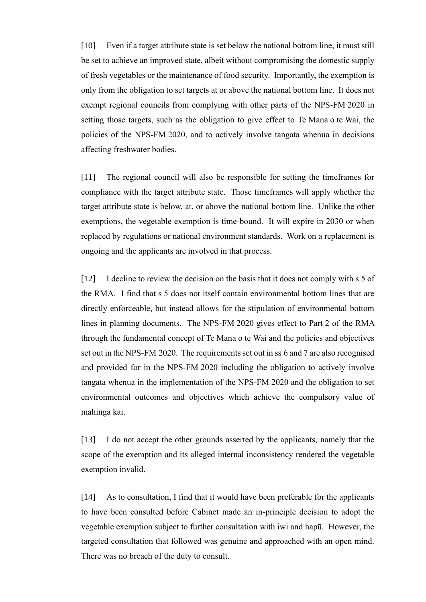[10] Even if a target attribute state is set below the national bottom line, it must still be set to achieve an improved state, albeit without compromising the domestic supply of fresh vegetables or the maintenance of food security. Importantly, the exemption is only from the obligation to set targets at or above the national bottom line. It does not exempt regional councils from complying with other parts of the NPS-FM 2020 in setting those targets, such as the obligation to give effect to Te Mana o te Wai, the policies of the NPS-FM 2020, and to actively involve tangata whenua in decisions affecting freshwater bodies.

[11] The regional council will also be responsible for setting the timeframes for compliance with the target attribute state. Those timeframes will apply whether the target attribute state is below, at, or above the national bottom line. Unlike the other exemptions, the vegetable exemption is time-bound. It will expire in 2030 or when replaced by regulations or national environment standards. Work on a replacement is ongoing and the applicants are involved in that process.

[12] I decline to review the decision on the basis that it does not comply with s 5 of the RMA. I find that s 5 does not itself contain environmental bottom lines that are directly enforceable, but instead allows for the stipulation of environmental bottom lines in planning documents. The NPS-FM 2020 gives effect to Part 2 of the RMA through the fundamental concept of Te Mana o te Wai and the policies and objectives set out in the NPS-FM 2020. The requirements set out in ss 6 and 7 are also recognised and provided for in the NPS-FM 2020 including the obligation to actively involve tangata whenua in the implementation of the NPS-FM 2020 and the obligation to set environmental outcomes and objectives which achieve the compulsory value of mahinga kai.

[13] I do not accept the other grounds asserted by the applicants, namely that the scope of the exemption and its alleged internal inconsistency rendered the vegetable exemption invalid.

[14] As to consultation, I find that it would have been preferable for the applicants to have been consulted before Cabinet made an in-principle decision to adopt the vegetable exemption subject to further consultation with iwi and hapū. However, the targeted consultation that followed was genuine and approached with an open mind. There was no breach of the duty to consult.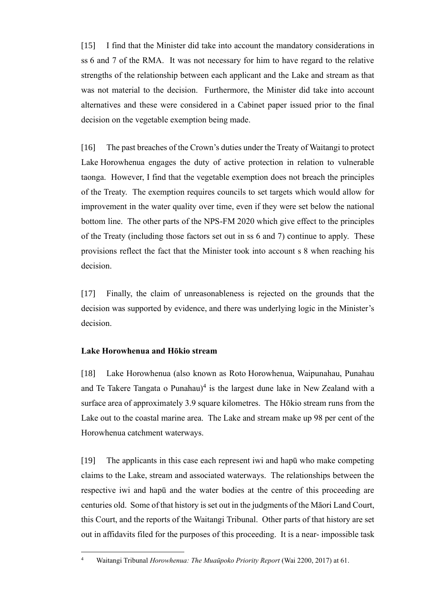[15] I find that the Minister did take into account the mandatory considerations in ss 6 and 7 of the RMA. It was not necessary for him to have regard to the relative strengths of the relationship between each applicant and the Lake and stream as that was not material to the decision. Furthermore, the Minister did take into account alternatives and these were considered in a Cabinet paper issued prior to the final decision on the vegetable exemption being made.

[16] The past breaches of the Crown's duties under the Treaty of Waitangi to protect Lake Horowhenua engages the duty of active protection in relation to vulnerable taonga. However, I find that the vegetable exemption does not breach the principles of the Treaty. The exemption requires councils to set targets which would allow for improvement in the water quality over time, even if they were set below the national bottom line. The other parts of the NPS-FM 2020 which give effect to the principles of the Treaty (including those factors set out in ss 6 and 7) continue to apply. These provisions reflect the fact that the Minister took into account s 8 when reaching his decision.

[17] Finally, the claim of unreasonableness is rejected on the grounds that the decision was supported by evidence, and there was underlying logic in the Minister's decision.

# <span id="page-6-0"></span>**Lake Horowhenua and Hōkio stream**

[18] Lake Horowhenua (also known as Roto Horowhenua, Waipunahau, Punahau and Te Takere Tangata o Punahau) $4$  is the largest dune lake in New Zealand with a surface area of approximately 3.9 square kilometres. The Hōkio stream runs from the Lake out to the coastal marine area. The Lake and stream make up 98 per cent of the Horowhenua catchment waterways.

[19] The applicants in this case each represent iwi and hapū who make competing claims to the Lake, stream and associated waterways. The relationships between the respective iwi and hapū and the water bodies at the centre of this proceeding are centuries old. Some of that history is set out in the judgments of the Māori Land Court, this Court, and the reports of the Waitangi Tribunal. Other parts of that history are set out in affidavits filed for the purposes of this proceeding. It is a near- impossible task

<sup>4</sup> Waitangi Tribunal *Horowhenua: The Muaūpoko Priority Report* (Wai 2200, 2017) at 61.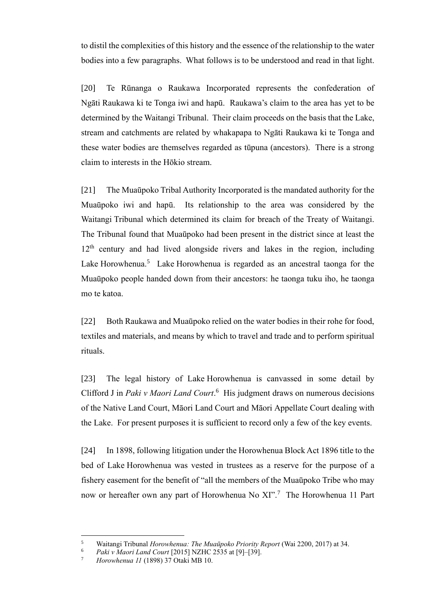to distil the complexities of this history and the essence of the relationship to the water bodies into a few paragraphs. What follows is to be understood and read in that light.

[20] Te Rūnanga o Raukawa Incorporated represents the confederation of Ngāti Raukawa ki te Tonga iwi and hapū. Raukawa's claim to the area has yet to be determined by the Waitangi Tribunal. Their claim proceeds on the basis that the Lake, stream and catchments are related by whakapapa to Ngāti Raukawa ki te Tonga and these water bodies are themselves regarded as tūpuna (ancestors). There is a strong claim to interests in the Hōkio stream.

[21] The Muaūpoko Tribal Authority Incorporated is the mandated authority for the Muaūpoko iwi and hapū. Its relationship to the area was considered by the Waitangi Tribunal which determined its claim for breach of the Treaty of Waitangi. The Tribunal found that Muaūpoko had been present in the district since at least the 12<sup>th</sup> century and had lived alongside rivers and lakes in the region, including Lake Horowhenua.<sup>5</sup> Lake Horowhenua is regarded as an ancestral taonga for the Muaūpoko people handed down from their ancestors: he taonga tuku iho, he taonga mo te katoa.

[22] Both Raukawa and Muaūpoko relied on the water bodies in their rohe for food, textiles and materials, and means by which to travel and trade and to perform spiritual rituals.

[23] The legal history of Lake Horowhenua is canvassed in some detail by Clifford J in *Paki v Maori Land Court*.<sup>6</sup> His judgment draws on numerous decisions of the Native Land Court, Māori Land Court and Māori Appellate Court dealing with the Lake. For present purposes it is sufficient to record only a few of the key events.

[24] In 1898, following litigation under the Horowhenua Block Act 1896 title to the bed of Lake Horowhenua was vested in trustees as a reserve for the purpose of a fishery easement for the benefit of "all the members of the Muaūpoko Tribe who may now or hereafter own any part of Horowhenua No XI".<sup>7</sup> The Horowhenua 11 Part

<sup>5</sup> Waitangi Tribunal *Horowhenua: The Muaūpoko Priority Report* (Wai 2200, 2017) at 34.

<sup>6</sup> *Paki v Maori Land Court* [2015] NZHC 2535 at [9]–[39].

<sup>7</sup> *Horowhenua 11* (1898) 37 Otaki MB 10.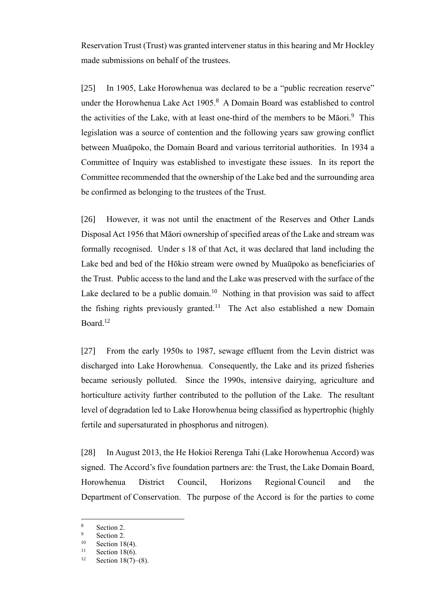Reservation Trust (Trust) was granted intervener status in this hearing and Mr Hockley made submissions on behalf of the trustees.

[25] In 1905, Lake Horowhenua was declared to be a "public recreation reserve" under the Horowhenua Lake Act  $1905$ .<sup>8</sup> A Domain Board was established to control the activities of the Lake, with at least one-third of the members to be Māori.<sup>9</sup> This legislation was a source of contention and the following years saw growing conflict between Muaūpoko, the Domain Board and various territorial authorities. In 1934 a Committee of Inquiry was established to investigate these issues. In its report the Committee recommended that the ownership of the Lake bed and the surrounding area be confirmed as belonging to the trustees of the Trust.

[26] However, it was not until the enactment of the Reserves and Other Lands Disposal Act 1956 that Māori ownership of specified areas of the Lake and stream was formally recognised. Under s 18 of that Act, it was declared that land including the Lake bed and bed of the Hōkio stream were owned by Muaūpoko as beneficiaries of the Trust. Public access to the land and the Lake was preserved with the surface of the Lake declared to be a public domain.<sup>10</sup> Nothing in that provision was said to affect the fishing rights previously granted.<sup>11</sup> The Act also established a new Domain Board.<sup>12</sup>

[27] From the early 1950s to 1987, sewage effluent from the Levin district was discharged into Lake Horowhenua. Consequently, the Lake and its prized fisheries became seriously polluted. Since the 1990s, intensive dairying, agriculture and horticulture activity further contributed to the pollution of the Lake. The resultant level of degradation led to Lake Horowhenua being classified as hypertrophic (highly fertile and supersaturated in phosphorus and nitrogen).

[28] In August 2013, the He Hokioi Rerenga Tahi (Lake Horowhenua Accord) was signed. The Accord's five foundation partners are: the Trust, the Lake Domain Board, Horowhenua District Council, Horizons Regional Council and the Department of Conservation. The purpose of the Accord is for the parties to come

 $\frac{8}{9}$  Section 2.

 $\frac{9}{10}$  Section 2.

 $^{10}$  Section 18(4).

 $11$  Section 18(6).

Section  $18(7)–(8)$ .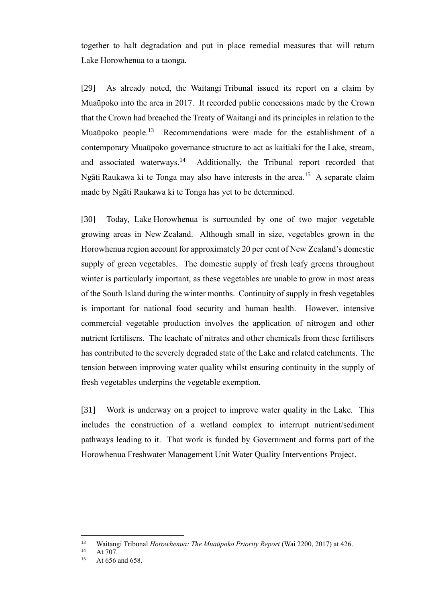together to halt degradation and put in place remedial measures that will return Lake Horowhenua to a taonga.

[29] As already noted, the Waitangi Tribunal issued its report on a claim by Muaūpoko into the area in 2017. It recorded public concessions made by the Crown that the Crown had breached the Treaty of Waitangi and its principles in relation to the Muaūpoko people.<sup>13</sup> Recommendations were made for the establishment of a contemporary Muaūpoko governance structure to act as kaitiaki for the Lake, stream, and associated waterways.<sup>14</sup> Additionally, the Tribunal report recorded that Ngāti Raukawa ki te Tonga may also have interests in the area.<sup>15</sup> A separate claim made by Ngāti Raukawa ki te Tonga has yet to be determined.

[30] Today, Lake Horowhenua is surrounded by one of two major vegetable growing areas in New Zealand. Although small in size, vegetables grown in the Horowhenua region account for approximately 20 per cent of New Zealand's domestic supply of green vegetables. The domestic supply of fresh leafy greens throughout winter is particularly important, as these vegetables are unable to grow in most areas of the South Island during the winter months. Continuity of supply in fresh vegetables is important for national food security and human health. However, intensive commercial vegetable production involves the application of nitrogen and other nutrient fertilisers. The leachate of nitrates and other chemicals from these fertilisers has contributed to the severely degraded state of the Lake and related catchments. The tension between improving water quality whilst ensuring continuity in the supply of fresh vegetables underpins the vegetable exemption.

[31] Work is underway on a project to improve water quality in the Lake. This includes the construction of a wetland complex to interrupt nutrient/sediment pathways leading to it. That work is funded by Government and forms part of the Horowhenua Freshwater Management Unit Water Quality Interventions Project.

<sup>13</sup> Waitangi Tribunal *Horowhenua: The Muaūpoko Priority Report* (Wai 2200, 2017) at 426.

 $14$  At 707.

At 656 and 658.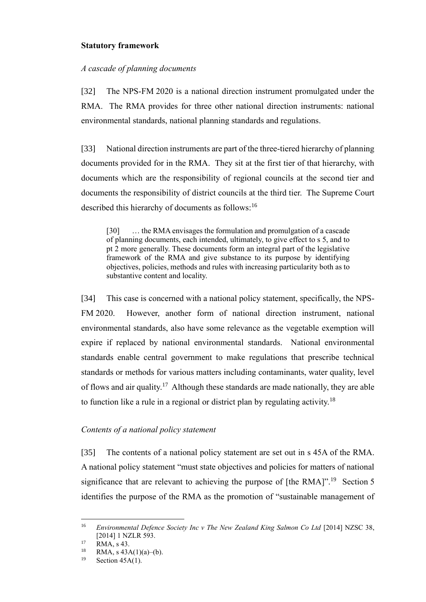# <span id="page-10-0"></span>**Statutory framework**

## <span id="page-10-1"></span>*A cascade of planning documents*

[32] The NPS-FM 2020 is a national direction instrument promulgated under the RMA. The RMA provides for three other national direction instruments: national environmental standards, national planning standards and regulations.

[33] National direction instruments are part of the three-tiered hierarchy of planning documents provided for in the RMA. They sit at the first tier of that hierarchy, with documents which are the responsibility of regional councils at the second tier and documents the responsibility of district councils at the third tier. The Supreme Court described this hierarchy of documents as follows:<sup>16</sup>

[30] … the RMA envisages the formulation and promulgation of a cascade of planning documents, each intended, ultimately, to give effect to s 5, and to pt 2 more generally. These documents form an integral part of the legislative framework of the RMA and give substance to its purpose by identifying objectives, policies, methods and rules with increasing particularity both as to substantive content and locality.

[34] This case is concerned with a national policy statement, specifically, the NPS-FM 2020. However, another form of national direction instrument, national environmental standards, also have some relevance as the vegetable exemption will expire if replaced by national environmental standards. National environmental standards enable central government to make regulations that prescribe technical standards or methods for various matters including contaminants, water quality, level of flows and air quality.<sup>17</sup> Although these standards are made nationally, they are able to function like a rule in a regional or district plan by regulating activity.<sup>18</sup>

## <span id="page-10-2"></span>*Contents of a national policy statement*

[35] The contents of a national policy statement are set out in s 45A of the RMA. A national policy statement "must state objectives and policies for matters of national significance that are relevant to achieving the purpose of [the RMA]".<sup>19</sup> Section 5 identifies the purpose of the RMA as the promotion of "sustainable management of

<sup>&</sup>lt;sup>16</sup> *Environmental Defence Society Inc v The New Zealand King Salmon Co Ltd* [2014] NZSC 38, [2014] 1 NZLR 593.

 $17$  RMA, s 43.

<sup>&</sup>lt;sup>18</sup> RMA, s 43A(1)(a)–(b).<br><sup>19</sup> Sostian 45A(1)

Section  $45A(1)$ .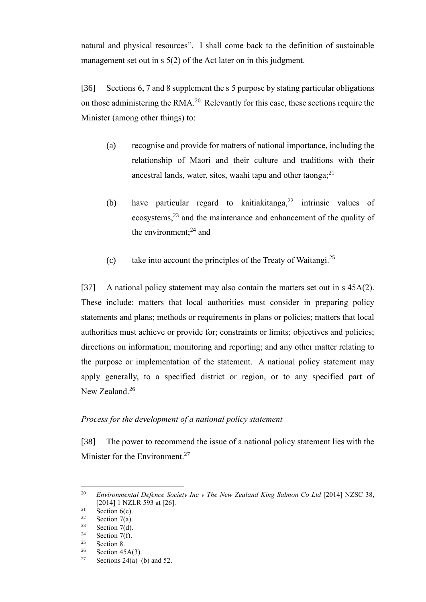natural and physical resources". I shall come back to the definition of sustainable management set out in s 5(2) of the Act later on in this judgment.

[36] Sections 6, 7 and 8 supplement the s 5 purpose by stating particular obligations on those administering the RMA. $^{20}$  Relevantly for this case, these sections require the Minister (among other things) to:

- (a) recognise and provide for matters of national importance, including the relationship of Māori and their culture and traditions with their ancestral lands, water, sites, waahi tapu and other taonga; $^{21}$
- (b) have particular regard to kaitiakitanga,  $2^2$  intrinsic values of ecosystems,<sup>23</sup> and the maintenance and enhancement of the quality of the environment: $^{24}$  and
- (c) take into account the principles of the Treaty of Waitangi.<sup>25</sup>

[37] A national policy statement may also contain the matters set out in s 45A(2). These include: matters that local authorities must consider in preparing policy statements and plans; methods or requirements in plans or policies; matters that local authorities must achieve or provide for; constraints or limits; objectives and policies; directions on information; monitoring and reporting; and any other matter relating to the purpose or implementation of the statement. A national policy statement may apply generally, to a specified district or region, or to any specified part of New Zealand.<sup>26</sup>

# <span id="page-11-0"></span>*Process for the development of a national policy statement*

[38] The power to recommend the issue of a national policy statement lies with the Minister for the Environment.<sup>27</sup>

<sup>20</sup> *Environmental Defence Society Inc v The New Zealand King Salmon Co Ltd* [2014] NZSC 38, [2014] 1 NZLR 593 at [26].

<sup>&</sup>lt;sup>21</sup> Section 6(e).<br><sup>22</sup> Section 7(a)

<sup>&</sup>lt;sup>22</sup> Section 7(a).<br><sup>23</sup> Section 7(d)

<sup>&</sup>lt;sup>23</sup> Section 7(d).<br><sup>24</sup> Section 7(f)

<sup>&</sup>lt;sup>24</sup> Section 7(f).<br><sup>25</sup> Section 8

 $rac{25}{26}$  Section 8.

<sup>&</sup>lt;sup>26</sup> Section 45A(3).<br><sup>27</sup> Sections 24(a)

Sections  $24(a)$ –(b) and 52.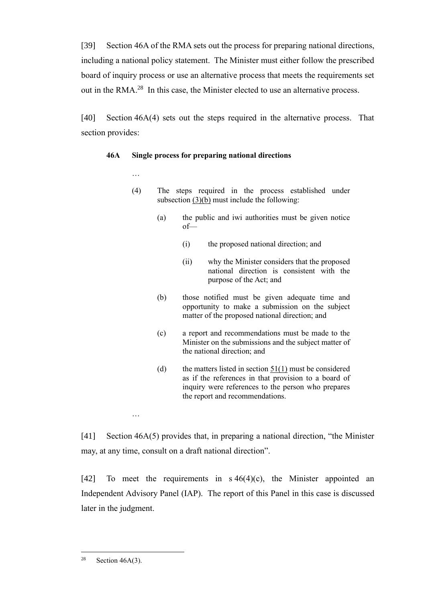[39] Section 46A of the RMA sets out the process for preparing national directions, including a national policy statement. The Minister must either follow the prescribed board of inquiry process or use an alternative process that meets the requirements set out in the RMA. $^{28}$  In this case, the Minister elected to use an alternative process.

[40] Section 46A(4) sets out the steps required in the alternative process. That section provides:

# **46A Single process for preparing national directions**

…

…

- (4) The steps required in the process established under subsection  $(3)(b)$  must include the following:
	- (a) the public and iwi authorities must be given notice of—
		- (i) the proposed national direction; and
		- (ii) why the Minister considers that the proposed national direction is consistent with the purpose of the Act; and
	- (b) those notified must be given adequate time and opportunity to make a submission on the subject matter of the proposed national direction; and
	- (c) a report and recommendations must be made to the Minister on the submissions and the subject matter of the national direction; and
	- (d) the matters listed in section  $51(1)$  must be considered as if the references in that provision to a board of inquiry were references to the person who prepares the report and recommendations.

[41] Section 46A(5) provides that, in preparing a national direction, "the Minister may, at any time, consult on a draft national direction".

[42] To meet the requirements in  $s\,46(4)(c)$ , the Minister appointed an Independent Advisory Panel (IAP). The report of this Panel in this case is discussed later in the judgment.

<sup>&</sup>lt;sup>28</sup> Section  $46A(3)$ .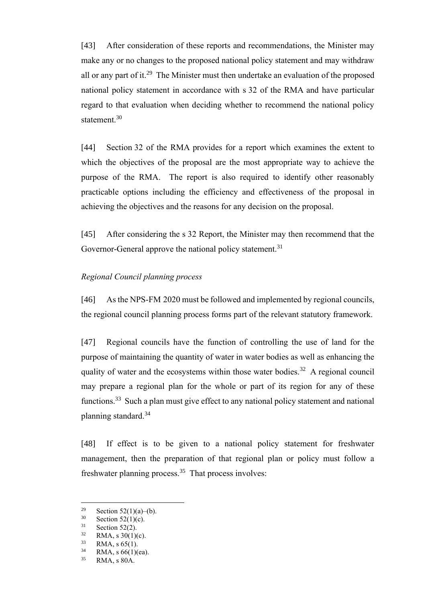[43] After consideration of these reports and recommendations, the Minister may make any or no changes to the proposed national policy statement and may withdraw all or any part of it.<sup>29</sup> The Minister must then undertake an evaluation of the proposed national policy statement in accordance with s 32 of the RMA and have particular regard to that evaluation when deciding whether to recommend the national policy statement.<sup>30</sup>

[44] Section 32 of the RMA provides for a report which examines the extent to which the objectives of the proposal are the most appropriate way to achieve the purpose of the RMA. The report is also required to identify other reasonably practicable options including the efficiency and effectiveness of the proposal in achieving the objectives and the reasons for any decision on the proposal.

[45] After considering the s 32 Report, the Minister may then recommend that the Governor-General approve the national policy statement.<sup>31</sup>

## <span id="page-13-0"></span>*Regional Council planning process*

[46] As the NPS-FM 2020 must be followed and implemented by regional councils, the regional council planning process forms part of the relevant statutory framework.

[47] Regional councils have the function of controlling the use of land for the purpose of maintaining the quantity of water in water bodies as well as enhancing the quality of water and the ecosystems within those water bodies.<sup>32</sup> A regional council may prepare a regional plan for the whole or part of its region for any of these functions.<sup>33</sup> Such a plan must give effect to any national policy statement and national planning standard.<sup>34</sup>

[48] If effect is to be given to a national policy statement for freshwater management, then the preparation of that regional plan or policy must follow a freshwater planning process.<sup>35</sup> That process involves:

<sup>&</sup>lt;sup>29</sup> Section 52(1)(a)–(b).<br><sup>30</sup> Section 52(1)(c)

 $30$  Section 52(1)(c).<br> $31$  Section 52(2)

<sup>&</sup>lt;sup>31</sup> Section 52(2).<br><sup>32</sup> **DMA** a 20(1)

 $\frac{32}{33}$  RMA, s 30(1)(c).<br>RMA s 65(1)

 $\frac{33}{34}$  RMA, s 65(1).

 $^{34}$  RMA, s 66(1)(ea).<br> $^{35}$  RMA s 80A

RMA, s 80A.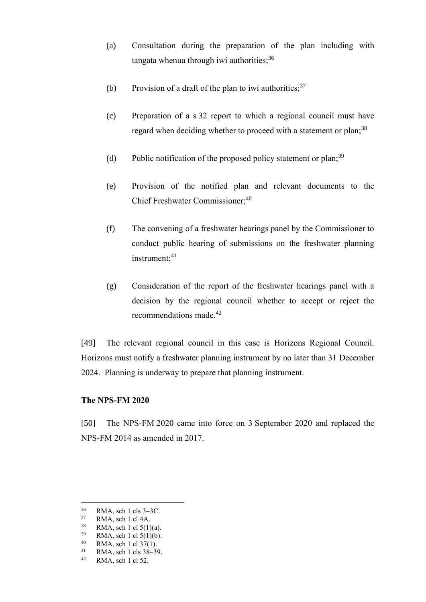- (a) Consultation during the preparation of the plan including with tangata whenua through iwi authorities;  $36$
- (b) Provision of a draft of the plan to iwi authorities;  $37$
- (c) Preparation of a s 32 report to which a regional council must have regard when deciding whether to proceed with a statement or plan;<sup>38</sup>
- (d) Public notification of the proposed policy statement or plan;<sup>39</sup>
- (e) Provision of the notified plan and relevant documents to the Chief Freshwater Commissioner;<sup>40</sup>
- (f) The convening of a freshwater hearings panel by the Commissioner to conduct public hearing of submissions on the freshwater planning instrument;<sup>41</sup>
- (g) Consideration of the report of the freshwater hearings panel with a decision by the regional council whether to accept or reject the recommendations made.<sup>42</sup>

[49] The relevant regional council in this case is Horizons Regional Council. Horizons must notify a freshwater planning instrument by no later than 31 December 2024. Planning is underway to prepare that planning instrument.

### <span id="page-14-0"></span>**The NPS-FM 2020**

[50] The NPS-FM 2020 came into force on 3 September 2020 and replaced the NPS-FM 2014 as amended in 2017.

 $\frac{36}{37}$  RMA, sch 1 cls 3–3C.<br> $\frac{37}{2}$  PMA, sch 1 cl 4A

RMA, sch 1 cl 4A.

 $^{38}$  RMA, sch 1 cl 5(1)(a).<br> $^{39}$  RMA, sch 1 el 5(1)(b).

 $^{39}$  RMA, sch 1 cl 5(1)(b).<br><sup>40</sup> RMA sch 1 cl 37(1)

<sup>&</sup>lt;sup>40</sup> RMA, sch 1 cl 37(1).<br><sup>41</sup> PMA, sch 1 cls 38, 30

<sup>&</sup>lt;sup>41</sup> RMA, sch 1 cls 38–39.<br><sup>42</sup> PMA, sch 1 cl 52

RMA, sch 1 cl 52.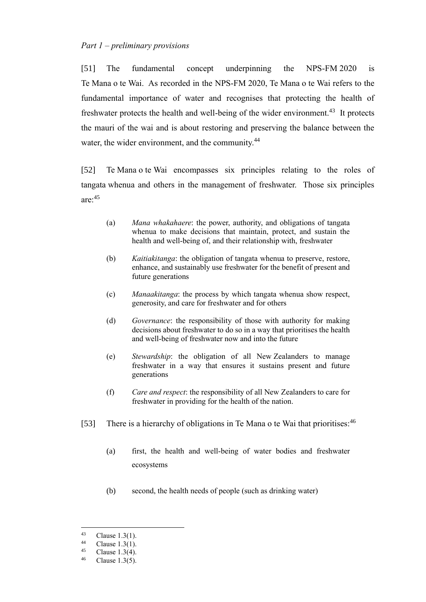<span id="page-15-0"></span>[51] The fundamental concept underpinning the NPS-FM 2020 is Te Mana o te Wai. As recorded in the NPS-FM 2020, Te Mana o te Wai refers to the fundamental importance of water and recognises that protecting the health of freshwater protects the health and well-being of the wider environment.<sup>43</sup> It protects the mauri of the wai and is about restoring and preserving the balance between the water, the wider environment, and the community.<sup>44</sup>

[52] Te Mana o te Wai encompasses six principles relating to the roles of tangata whenua and others in the management of freshwater. Those six principles are:<sup>45</sup>

- (a) *Mana whakahaere*: the power, authority, and obligations of tangata whenua to make decisions that maintain, protect, and sustain the health and well-being of, and their relationship with, freshwater
- (b) *Kaitiakitanga*: the obligation of tangata whenua to preserve, restore, enhance, and sustainably use freshwater for the benefit of present and future generations
- (c) *Manaakitanga*: the process by which tangata whenua show respect, generosity, and care for freshwater and for others
- (d) *Governance*: the responsibility of those with authority for making decisions about freshwater to do so in a way that prioritises the health and well-being of freshwater now and into the future
- (e) *Stewardship*: the obligation of all New Zealanders to manage freshwater in a way that ensures it sustains present and future generations
- (f) *Care and respect*: the responsibility of all New Zealanders to care for freshwater in providing for the health of the nation.
- [53] There is a hierarchy of obligations in Te Mana o te Wai that prioritises:<sup>46</sup>
	- (a) first, the health and well-being of water bodies and freshwater ecosystems
	- (b) second, the health needs of people (such as drinking water)

<sup>&</sup>lt;sup>43</sup> Clause 1.3(1).

<sup>&</sup>lt;sup>44</sup> Clause 1.3(1).<br><sup>45</sup> Clause 1.3(4)

<sup>&</sup>lt;sup>45</sup> Clause 1.3(4).

Clause  $1.3(5)$ .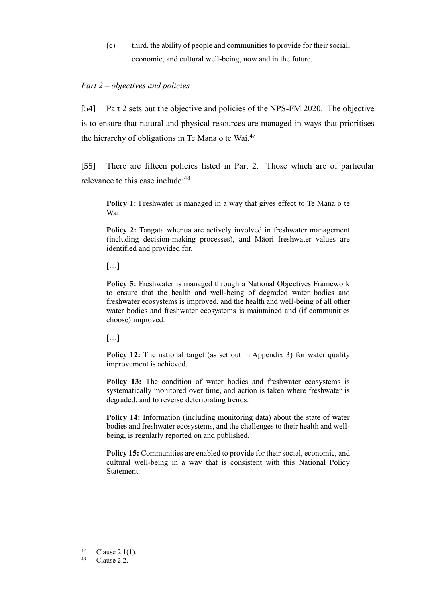(c) third, the ability of people and communities to provide for their social, economic, and cultural well-being, now and in the future.

# <span id="page-16-0"></span>*Part 2 – objectives and policies*

[54] Part 2 sets out the objective and policies of the NPS-FM 2020. The objective is to ensure that natural and physical resources are managed in ways that prioritises the hierarchy of obligations in Te Mana o te Wai.<sup>47</sup>

[55] There are fifteen policies listed in Part 2. Those which are of particular relevance to this case include:<sup>48</sup>

**Policy 1:** Freshwater is managed in a way that gives effect to Te Mana o te Wai.

**Policy 2:** Tangata whenua are actively involved in freshwater management (including decision-making processes), and Māori freshwater values are identified and provided for.

[…]

**Policy 5:** Freshwater is managed through a National Objectives Framework to ensure that the health and well-being of degraded water bodies and freshwater ecosystems is improved, and the health and well-being of all other water bodies and freshwater ecosystems is maintained and (if communities choose) improved.

[…]

**Policy 12:** The national target (as set out in Appendix 3) for water quality improvement is achieved.

Policy 13: The condition of water bodies and freshwater ecosystems is systematically monitored over time, and action is taken where freshwater is degraded, and to reverse deteriorating trends.

**Policy 14:** Information (including monitoring data) about the state of water bodies and freshwater ecosystems, and the challenges to their health and wellbeing, is regularly reported on and published.

**Policy 15:** Communities are enabled to provide for their social, economic, and cultural well-being in a way that is consistent with this National Policy Statement.

 $^{47}$  Clause 2.1(1).

Clause 2.2.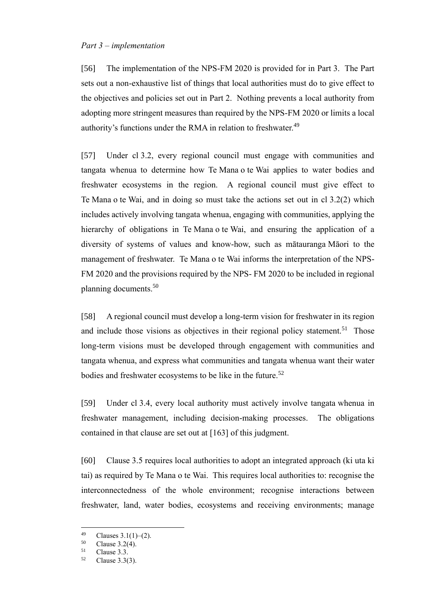### <span id="page-17-0"></span>*Part 3 – implementation*

[56] The implementation of the NPS-FM 2020 is provided for in Part 3. The Part sets out a non-exhaustive list of things that local authorities must do to give effect to the objectives and policies set out in Part 2. Nothing prevents a local authority from adopting more stringent measures than required by the NPS-FM 2020 or limits a local authority's functions under the RMA in relation to freshwater.<sup>49</sup>

[57] Under cl 3.2, every regional council must engage with communities and tangata whenua to determine how Te Mana o te Wai applies to water bodies and freshwater ecosystems in the region. A regional council must give effect to Te Mana o te Wai, and in doing so must take the actions set out in cl 3.2(2) which includes actively involving tangata whenua, engaging with communities, applying the hierarchy of obligations in Te Mana o te Wai, and ensuring the application of a diversity of systems of values and know-how, such as mātauranga Māori to the management of freshwater. Te Mana o te Wai informs the interpretation of the NPS-FM 2020 and the provisions required by the NPS- FM 2020 to be included in regional planning documents.<sup>50</sup>

[58] A regional council must develop a long-term vision for freshwater in its region and include those visions as objectives in their regional policy statement.<sup>51</sup> Those long-term visions must be developed through engagement with communities and tangata whenua, and express what communities and tangata whenua want their water bodies and freshwater ecosystems to be like in the future.<sup>52</sup>

[59] Under cl 3.4, every local authority must actively involve tangata whenua in freshwater management, including decision-making processes. The obligations contained in that clause are set out at [\[163\]](#page-46-0) of this judgment.

[60] Clause 3.5 requires local authorities to adopt an integrated approach (ki uta ki tai) as required by Te Mana o te Wai. This requires local authorities to: recognise the interconnectedness of the whole environment; recognise interactions between freshwater, land, water bodies, ecosystems and receiving environments; manage

 $^{49}$  Clauses 3.1(1)–(2).<br>
S<sub>0</sub> Clause 3.2(4)

 $^{50}$  Clause 3.2(4).

 $51$  Clause 3.3.

Clause  $3.3(3)$ .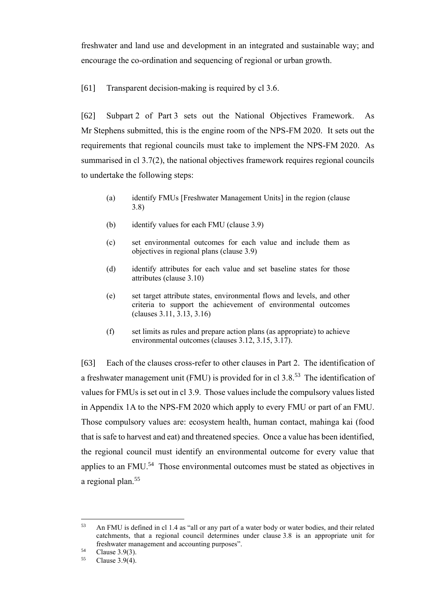freshwater and land use and development in an integrated and sustainable way; and encourage the co-ordination and sequencing of regional or urban growth.

[61] Transparent decision-making is required by cl 3.6.

[62] Subpart 2 of Part 3 sets out the National Objectives Framework. As Mr Stephens submitted, this is the engine room of the NPS-FM 2020. It sets out the requirements that regional councils must take to implement the NPS-FM 2020. As summarised in cl 3.7(2), the national objectives framework requires regional councils to undertake the following steps:

- (a) identify FMUs [Freshwater Management Units] in the region (clause 3.8)
- (b) identify values for each FMU (clause 3.9)
- (c) set environmental outcomes for each value and include them as objectives in regional plans (clause 3.9)
- (d) identify attributes for each value and set baseline states for those attributes (clause 3.10)
- (e) set target attribute states, environmental flows and levels, and other criteria to support the achievement of environmental outcomes (clauses 3.11, 3.13, 3.16)
- (f) set limits as rules and prepare action plans (as appropriate) to achieve environmental outcomes (clauses 3.12, 3.15, 3.17).

[63] Each of the clauses cross-refer to other clauses in Part 2. The identification of a freshwater management unit (FMU) is provided for in cl 3.8.<sup>53</sup> The identification of values for FMUs is set out in cl 3.9. Those values include the compulsory values listed in Appendix 1A to the NPS-FM 2020 which apply to every FMU or part of an FMU. Those compulsory values are: ecosystem health, human contact, mahinga kai (food that is safe to harvest and eat) and threatened species. Once a value has been identified, the regional council must identify an environmental outcome for every value that applies to an FMU.<sup>54</sup> Those environmental outcomes must be stated as objectives in a regional plan.<sup>55</sup>

<sup>53</sup> An FMU is defined in cl 1.4 as "all or any part of a water body or water bodies, and their related catchments, that a regional council determines under clause 3.8 is an appropriate unit for freshwater management and accounting purposes".

<sup>&</sup>lt;sup>54</sup> Clause 3.9(3).<br> $^{55}$  Clause 3.9(4)

Clause  $3.9(4)$ .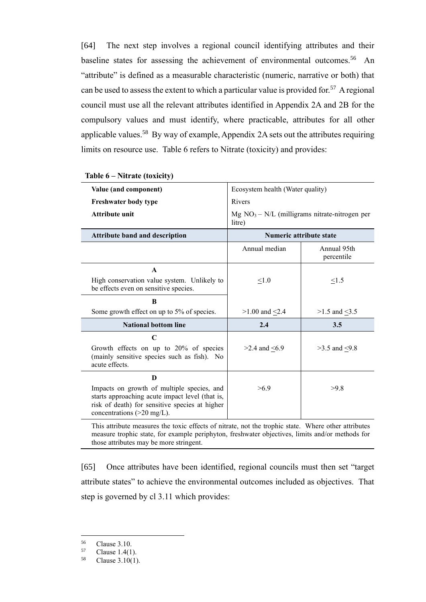[64] The next step involves a regional council identifying attributes and their baseline states for assessing the achievement of environmental outcomes.<sup>56</sup> An "attribute" is defined as a measurable characteristic (numeric, narrative or both) that can be used to assess the extent to which a particular value is provided for.<sup>57</sup> A regional council must use all the relevant attributes identified in Appendix 2A and 2B for the compulsory values and must identify, where practicable, attributes for all other applicable values.<sup>58</sup> By way of example, Appendix 2A sets out the attributes requiring limits on resource use. Table 6 refers to Nitrate (toxicity) and provides:

| Value (and component)                                                                                                                                                           | Ecosystem health (Water quality)                          |                           |
|---------------------------------------------------------------------------------------------------------------------------------------------------------------------------------|-----------------------------------------------------------|---------------------------|
| <b>Freshwater body type</b>                                                                                                                                                     | Rivers                                                    |                           |
| <b>Attribute unit</b>                                                                                                                                                           | $Mg NO3 - N/L$ (milligrams nitrate-nitrogen per<br>litre) |                           |
| <b>Attribute band and description</b>                                                                                                                                           | <b>Numeric attribute state</b>                            |                           |
|                                                                                                                                                                                 | Annual median                                             | Annual 95th<br>percentile |
| A                                                                                                                                                                               |                                                           |                           |
| High conservation value system. Unlikely to<br>be effects even on sensitive species.                                                                                            | < 1.0                                                     | <1.5                      |
| B                                                                                                                                                                               |                                                           |                           |
| Some growth effect on up to 5% of species.                                                                                                                                      | $>1.00$ and $< 2.4$                                       | $>1.5$ and $<3.5$         |
| <b>National bottom line</b>                                                                                                                                                     | 2.4                                                       | 3.5                       |
| $\mathbf C$                                                                                                                                                                     |                                                           |                           |
| Growth effects on up to 20% of species<br>(mainly sensitive species such as fish). No<br>acute effects.                                                                         | $>2.4$ and $\leq 6.9$                                     | $>3.5$ and $< 9.8$        |
| D                                                                                                                                                                               |                                                           |                           |
| Impacts on growth of multiple species, and<br>starts approaching acute impact level (that is,<br>risk of death) for sensitive species at higher<br>concentrations $(>20$ mg/L). | >6.9                                                      | >9.8                      |

#### **Table 6 – Nitrate (toxicity)**

This attribute measures the toxic effects of nitrate, not the trophic state. Where other attributes measure trophic state, for example periphyton, freshwater objectives, limits and/or methods for those attributes may be more stringent.

[65] Once attributes have been identified, regional councils must then set "target attribute states" to achieve the environmental outcomes included as objectives. That step is governed by cl 3.11 which provides:

 $^{56}$  Clause 3.10.<br> $^{57}$  Clause 1.4(1)

 $^{57}$  Clause 1.4(1).<br> $^{58}$  Clause 3.10(1)

Clause  $3.10(1)$ .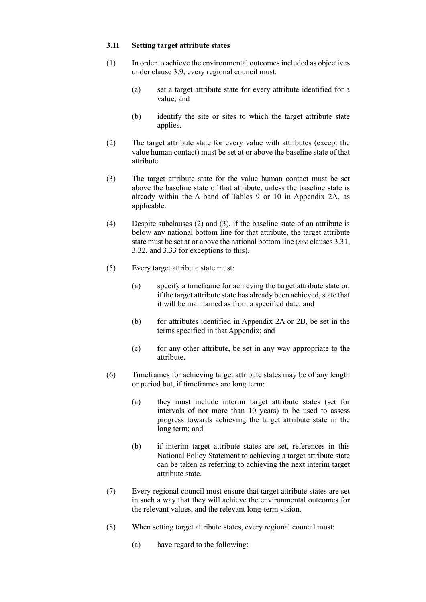#### **3.11 Setting target attribute states**

- (1) In order to achieve the environmental outcomes included as objectives under clause 3.9, every regional council must:
	- (a) set a target attribute state for every attribute identified for a value; and
	- (b) identify the site or sites to which the target attribute state applies.
- (2) The target attribute state for every value with attributes (except the value human contact) must be set at or above the baseline state of that attribute.
- (3) The target attribute state for the value human contact must be set above the baseline state of that attribute, unless the baseline state is already within the A band of Tables 9 or 10 in Appendix 2A, as applicable.
- (4) Despite subclauses (2) and (3), if the baseline state of an attribute is below any national bottom line for that attribute, the target attribute state must be set at or above the national bottom line (*see* clauses 3.31, 3.32, and 3.33 for exceptions to this).
- (5) Every target attribute state must:
	- (a) specify a timeframe for achieving the target attribute state or, if the target attribute state has already been achieved, state that it will be maintained as from a specified date; and
	- (b) for attributes identified in Appendix 2A or 2B, be set in the terms specified in that Appendix; and
	- (c) for any other attribute, be set in any way appropriate to the attribute.
- (6) Timeframes for achieving target attribute states may be of any length or period but, if timeframes are long term:
	- (a) they must include interim target attribute states (set for intervals of not more than 10 years) to be used to assess progress towards achieving the target attribute state in the long term; and
	- (b) if interim target attribute states are set, references in this National Policy Statement to achieving a target attribute state can be taken as referring to achieving the next interim target attribute state.
- (7) Every regional council must ensure that target attribute states are set in such a way that they will achieve the environmental outcomes for the relevant values, and the relevant long-term vision.
- (8) When setting target attribute states, every regional council must:
	- (a) have regard to the following: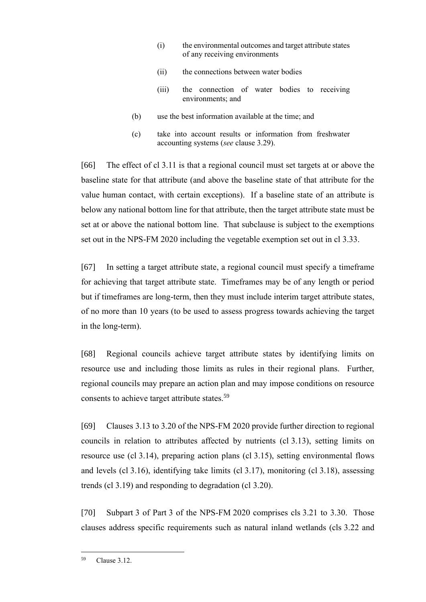- (i) the environmental outcomes and target attribute states of any receiving environments
- (ii) the connections between water bodies
- (iii) the connection of water bodies to receiving environments; and
- (b) use the best information available at the time; and
- (c) take into account results or information from freshwater accounting systems (*see* clause 3.29).

[66] The effect of cl 3.11 is that a regional council must set targets at or above the baseline state for that attribute (and above the baseline state of that attribute for the value human contact, with certain exceptions). If a baseline state of an attribute is below any national bottom line for that attribute, then the target attribute state must be set at or above the national bottom line. That subclause is subject to the exemptions set out in the NPS-FM 2020 including the vegetable exemption set out in cl 3.33.

[67] In setting a target attribute state, a regional council must specify a timeframe for achieving that target attribute state. Timeframes may be of any length or period but if timeframes are long-term, then they must include interim target attribute states, of no more than 10 years (to be used to assess progress towards achieving the target in the long-term).

[68] Regional councils achieve target attribute states by identifying limits on resource use and including those limits as rules in their regional plans. Further, regional councils may prepare an action plan and may impose conditions on resource consents to achieve target attribute states.<sup>59</sup>

[69] Clauses 3.13 to 3.20 of the NPS-FM 2020 provide further direction to regional councils in relation to attributes affected by nutrients (cl 3.13), setting limits on resource use (cl 3.14), preparing action plans (cl 3.15), setting environmental flows and levels (cl 3.16), identifying take limits (cl 3.17), monitoring (cl 3.18), assessing trends (cl 3.19) and responding to degradation (cl 3.20).

[70] Subpart 3 of Part 3 of the NPS-FM 2020 comprises cls 3.21 to 3.30. Those clauses address specific requirements such as natural inland wetlands (cls 3.22 and

<sup>59</sup> Clause 3.12.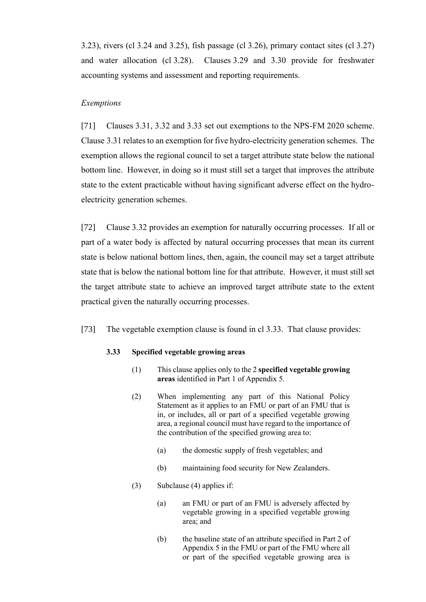3.23), rivers (cl 3.24 and 3.25), fish passage (cl 3.26), primary contact sites (cl 3.27) and water allocation (cl 3.28). Clauses 3.29 and 3.30 provide for freshwater accounting systems and assessment and reporting requirements.

## <span id="page-22-0"></span>*Exemptions*

[71] Clauses 3.31, 3.32 and 3.33 set out exemptions to the NPS-FM 2020 scheme. Clause 3.31 relates to an exemption for five hydro-electricity generation schemes. The exemption allows the regional council to set a target attribute state below the national bottom line. However, in doing so it must still set a target that improves the attribute state to the extent practicable without having significant adverse effect on the hydroelectricity generation schemes.

[72] Clause 3.32 provides an exemption for naturally occurring processes. If all or part of a water body is affected by natural occurring processes that mean its current state is below national bottom lines, then, again, the council may set a target attribute state that is below the national bottom line for that attribute. However, it must still set the target attribute state to achieve an improved target attribute state to the extent practical given the naturally occurring processes.

[73] The vegetable exemption clause is found in cl 3.33. That clause provides:

#### **3.33 Specified vegetable growing areas**

- (1) This clause applies only to the 2 **specified vegetable growing areas** identified in Part 1 of Appendix 5.
- (2) When implementing any part of this National Policy Statement as it applies to an FMU or part of an FMU that is in, or includes, all or part of a specified vegetable growing area, a regional council must have regard to the importance of the contribution of the specified growing area to:
	- (a) the domestic supply of fresh vegetables; and
	- (b) maintaining food security for New Zealanders.
- (3) Subclause (4) applies if:
	- (a) an FMU or part of an FMU is adversely affected by vegetable growing in a specified vegetable growing area; and
	- (b) the baseline state of an attribute specified in Part 2 of Appendix 5 in the FMU or part of the FMU where all or part of the specified vegetable growing area is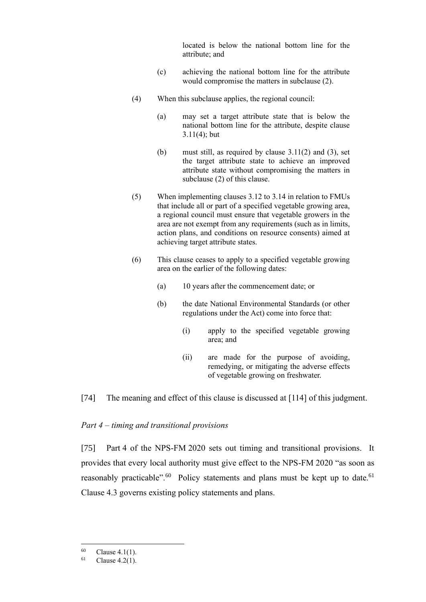located is below the national bottom line for the attribute; and

- (c) achieving the national bottom line for the attribute would compromise the matters in subclause (2).
- (4) When this subclause applies, the regional council:
	- (a) may set a target attribute state that is below the national bottom line for the attribute, despite clause 3.11(4); but
	- (b) must still, as required by clause 3.11(2) and (3), set the target attribute state to achieve an improved attribute state without compromising the matters in subclause (2) of this clause.
- (5) When implementing clauses 3.12 to 3.14 in relation to FMUs that include all or part of a specified vegetable growing area, a regional council must ensure that vegetable growers in the area are not exempt from any requirements (such as in limits, action plans, and conditions on resource consents) aimed at achieving target attribute states.
- (6) This clause ceases to apply to a specified vegetable growing area on the earlier of the following dates:
	- (a) 10 years after the commencement date; or
	- (b) the date National Environmental Standards (or other regulations under the Act) come into force that:
		- (i) apply to the specified vegetable growing area; and
		- (ii) are made for the purpose of avoiding, remedying, or mitigating the adverse effects of vegetable growing on freshwater.

### <span id="page-23-0"></span>[74] The meaning and effect of this clause is discussed at [\[114\]](#page-32-2) of this judgment.

#### *Part 4 – timing and transitional provisions*

[75] Part 4 of the NPS-FM 2020 sets out timing and transitional provisions. It provides that every local authority must give effect to the NPS-FM 2020 "as soon as reasonably practicable".<sup>60</sup> Policy statements and plans must be kept up to date.<sup>61</sup> Clause 4.3 governs existing policy statements and plans.

<sup>&</sup>lt;sup>60</sup> Clause 4.1(1).<br><sup>61</sup> Clause 4.2(1)

Clause  $4.2(1)$ .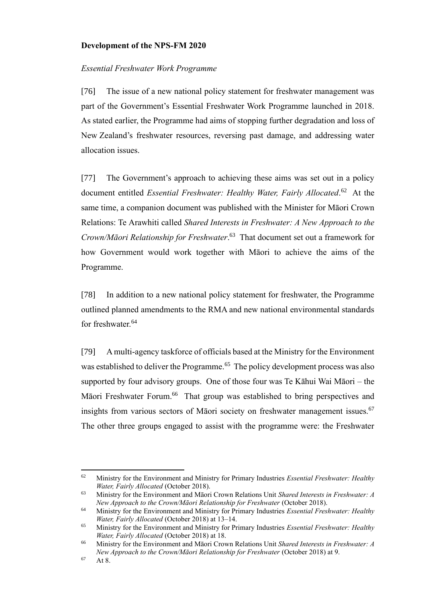# <span id="page-24-0"></span>**Development of the NPS-FM 2020**

# <span id="page-24-1"></span>*Essential Freshwater Work Programme*

[76] The issue of a new national policy statement for freshwater management was part of the Government's Essential Freshwater Work Programme launched in 2018. As stated earlier, the Programme had aims of stopping further degradation and loss of New Zealand's freshwater resources, reversing past damage, and addressing water allocation issues.

[77] The Government's approach to achieving these aims was set out in a policy document entitled *Essential Freshwater: Healthy Water, Fairly Allocated*. 62 At the same time, a companion document was published with the Minister for Māori Crown Relations: Te Arawhiti called *Shared Interests in Freshwater: A New Approach to the Crown/Māori Relationship for Freshwater*. 63 That document set out a framework for how Government would work together with Māori to achieve the aims of the Programme.

[78] In addition to a new national policy statement for freshwater, the Programme outlined planned amendments to the RMA and new national environmental standards for freshwater.<sup>64</sup>

[79] A multi-agency taskforce of officials based at the Ministry for the Environment was established to deliver the Programme.<sup>65</sup> The policy development process was also supported by four advisory groups. One of those four was Te Kāhui Wai Māori – the Māori Freshwater Forum.<sup>66</sup> That group was established to bring perspectives and insights from various sectors of Māori society on freshwater management issues.<sup>67</sup> The other three groups engaged to assist with the programme were: the Freshwater

<sup>62</sup> Ministry for the Environment and Ministry for Primary Industries *Essential Freshwater: Healthy Water, Fairly Allocated* (October 2018).

<sup>63</sup> Ministry for the Environment and Māori Crown Relations Unit *Shared Interests in Freshwater: A New Approach to the Crown/Māori Relationship for Freshwater (October 2018).* 

<sup>64</sup> Ministry for the Environment and Ministry for Primary Industries *Essential Freshwater: Healthy Water, Fairly Allocated* (October 2018) at 13–14.

<sup>65</sup> Ministry for the Environment and Ministry for Primary Industries *Essential Freshwater: Healthy Water, Fairly Allocated* (October 2018) at 18.

<sup>66</sup> Ministry for the Environment and Māori Crown Relations Unit *Shared Interests in Freshwater: A New Approach to the Crown/Māori Relationship for Freshwater (October 2018) at 9.* 

 $67$  At 8.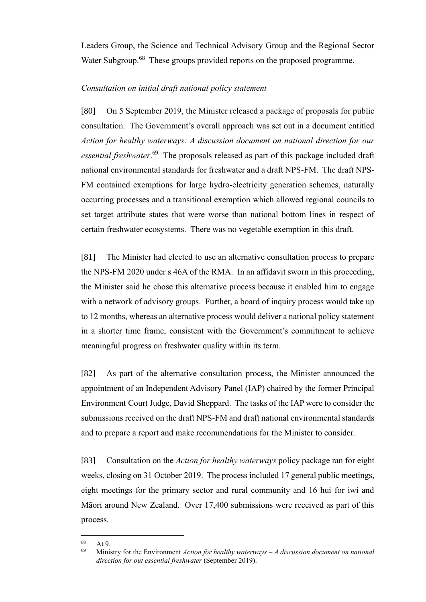Leaders Group, the Science and Technical Advisory Group and the Regional Sector Water Subgroup.<sup>68</sup> These groups provided reports on the proposed programme.

# <span id="page-25-0"></span>*Consultation on initial draft national policy statement*

[80] On 5 September 2019, the Minister released a package of proposals for public consultation. The Government's overall approach was set out in a document entitled *Action for healthy waterways: A discussion document on national direction for our*  essential freshwater.<sup>69</sup> The proposals released as part of this package included draft national environmental standards for freshwater and a draft NPS-FM. The draft NPS-FM contained exemptions for large hydro-electricity generation schemes, naturally occurring processes and a transitional exemption which allowed regional councils to set target attribute states that were worse than national bottom lines in respect of certain freshwater ecosystems. There was no vegetable exemption in this draft.

[81] The Minister had elected to use an alternative consultation process to prepare the NPS-FM 2020 under s 46A of the RMA. In an affidavit sworn in this proceeding, the Minister said he chose this alternative process because it enabled him to engage with a network of advisory groups. Further, a board of inquiry process would take up to 12 months, whereas an alternative process would deliver a national policy statement in a shorter time frame, consistent with the Government's commitment to achieve meaningful progress on freshwater quality within its term.

[82] As part of the alternative consultation process, the Minister announced the appointment of an Independent Advisory Panel (IAP) chaired by the former Principal Environment Court Judge, David Sheppard. The tasks of the IAP were to consider the submissions received on the draft NPS-FM and draft national environmental standards and to prepare a report and make recommendations for the Minister to consider.

[83] Consultation on the *Action for healthy waterways* policy package ran for eight weeks, closing on 31 October 2019. The process included 17 general public meetings, eight meetings for the primary sector and rural community and 16 hui for iwi and Māori around New Zealand. Over 17,400 submissions were received as part of this process.

 $68$  At 9.

<sup>69</sup> Ministry for the Environment *Action for healthy waterways – A discussion document on national direction for out essential freshwater* (September 2019).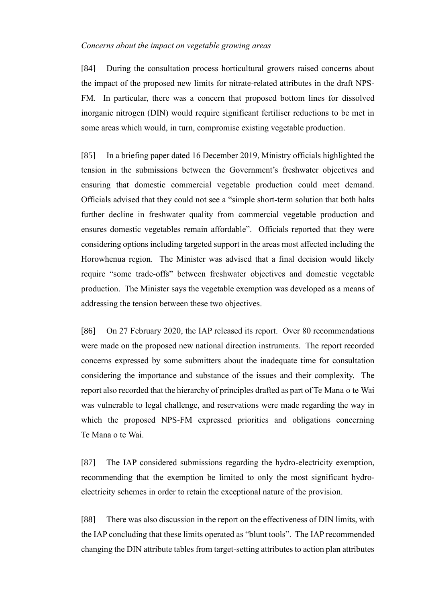### <span id="page-26-0"></span>*Concerns about the impact on vegetable growing areas*

[84] During the consultation process horticultural growers raised concerns about the impact of the proposed new limits for nitrate-related attributes in the draft NPS-FM. In particular, there was a concern that proposed bottom lines for dissolved inorganic nitrogen (DIN) would require significant fertiliser reductions to be met in some areas which would, in turn, compromise existing vegetable production.

[85] In a briefing paper dated 16 December 2019, Ministry officials highlighted the tension in the submissions between the Government's freshwater objectives and ensuring that domestic commercial vegetable production could meet demand. Officials advised that they could not see a "simple short-term solution that both halts further decline in freshwater quality from commercial vegetable production and ensures domestic vegetables remain affordable". Officials reported that they were considering options including targeted support in the areas most affected including the Horowhenua region. The Minister was advised that a final decision would likely require "some trade-offs" between freshwater objectives and domestic vegetable production. The Minister says the vegetable exemption was developed as a means of addressing the tension between these two objectives.

[86] On 27 February 2020, the IAP released its report. Over 80 recommendations were made on the proposed new national direction instruments. The report recorded concerns expressed by some submitters about the inadequate time for consultation considering the importance and substance of the issues and their complexity. The report also recorded that the hierarchy of principles drafted as part of Te Mana o te Wai was vulnerable to legal challenge, and reservations were made regarding the way in which the proposed NPS-FM expressed priorities and obligations concerning Te Mana o te Wai.

[87] The IAP considered submissions regarding the hydro-electricity exemption, recommending that the exemption be limited to only the most significant hydroelectricity schemes in order to retain the exceptional nature of the provision.

[88] There was also discussion in the report on the effectiveness of DIN limits, with the IAP concluding that these limits operated as "blunt tools". The IAP recommended changing the DIN attribute tables from target-setting attributes to action plan attributes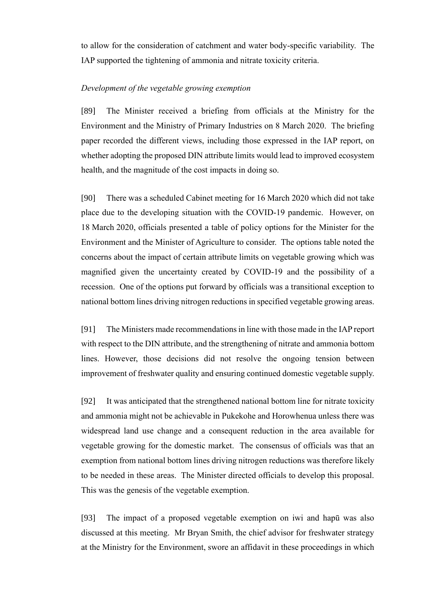to allow for the consideration of catchment and water body-specific variability. The IAP supported the tightening of ammonia and nitrate toxicity criteria.

## <span id="page-27-0"></span>*Development of the vegetable growing exemption*

[89] The Minister received a briefing from officials at the Ministry for the Environment and the Ministry of Primary Industries on 8 March 2020. The briefing paper recorded the different views, including those expressed in the IAP report, on whether adopting the proposed DIN attribute limits would lead to improved ecosystem health, and the magnitude of the cost impacts in doing so.

[90] There was a scheduled Cabinet meeting for 16 March 2020 which did not take place due to the developing situation with the COVID-19 pandemic. However, on 18 March 2020, officials presented a table of policy options for the Minister for the Environment and the Minister of Agriculture to consider. The options table noted the concerns about the impact of certain attribute limits on vegetable growing which was magnified given the uncertainty created by COVID-19 and the possibility of a recession. One of the options put forward by officials was a transitional exception to national bottom lines driving nitrogen reductions in specified vegetable growing areas.

[91] The Ministers made recommendations in line with those made in the IAP report with respect to the DIN attribute, and the strengthening of nitrate and ammonia bottom lines. However, those decisions did not resolve the ongoing tension between improvement of freshwater quality and ensuring continued domestic vegetable supply.

[92] It was anticipated that the strengthened national bottom line for nitrate toxicity and ammonia might not be achievable in Pukekohe and Horowhenua unless there was widespread land use change and a consequent reduction in the area available for vegetable growing for the domestic market. The consensus of officials was that an exemption from national bottom lines driving nitrogen reductions was therefore likely to be needed in these areas. The Minister directed officials to develop this proposal. This was the genesis of the vegetable exemption.

[93] The impact of a proposed vegetable exemption on iwi and hapū was also discussed at this meeting. Mr Bryan Smith, the chief advisor for freshwater strategy at the Ministry for the Environment, swore an affidavit in these proceedings in which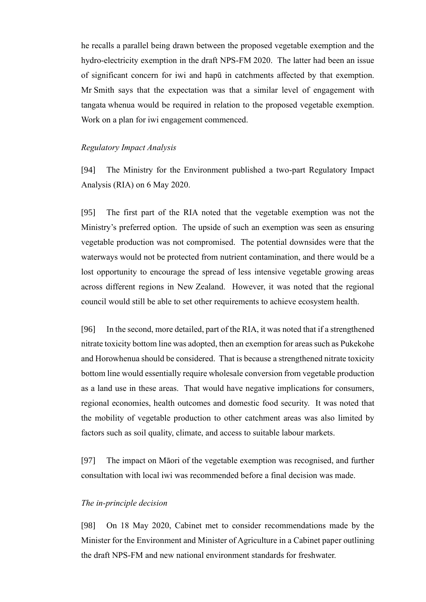he recalls a parallel being drawn between the proposed vegetable exemption and the hydro-electricity exemption in the draft NPS-FM 2020. The latter had been an issue of significant concern for iwi and hapū in catchments affected by that exemption. Mr Smith says that the expectation was that a similar level of engagement with tangata whenua would be required in relation to the proposed vegetable exemption. Work on a plan for iwi engagement commenced.

## <span id="page-28-0"></span>*Regulatory Impact Analysis*

[94] The Ministry for the Environment published a two-part Regulatory Impact Analysis (RIA) on 6 May 2020.

[95] The first part of the RIA noted that the vegetable exemption was not the Ministry's preferred option. The upside of such an exemption was seen as ensuring vegetable production was not compromised. The potential downsides were that the waterways would not be protected from nutrient contamination, and there would be a lost opportunity to encourage the spread of less intensive vegetable growing areas across different regions in New Zealand. However, it was noted that the regional council would still be able to set other requirements to achieve ecosystem health.

[96] In the second, more detailed, part of the RIA, it was noted that if a strengthened nitrate toxicity bottom line was adopted, then an exemption for areas such as Pukekohe and Horowhenua should be considered. That is because a strengthened nitrate toxicity bottom line would essentially require wholesale conversion from vegetable production as a land use in these areas. That would have negative implications for consumers, regional economies, health outcomes and domestic food security. It was noted that the mobility of vegetable production to other catchment areas was also limited by factors such as soil quality, climate, and access to suitable labour markets.

[97] The impact on Māori of the vegetable exemption was recognised, and further consultation with local iwi was recommended before a final decision was made.

#### <span id="page-28-1"></span>*The in-principle decision*

[98] On 18 May 2020, Cabinet met to consider recommendations made by the Minister for the Environment and Minister of Agriculture in a Cabinet paper outlining the draft NPS-FM and new national environment standards for freshwater.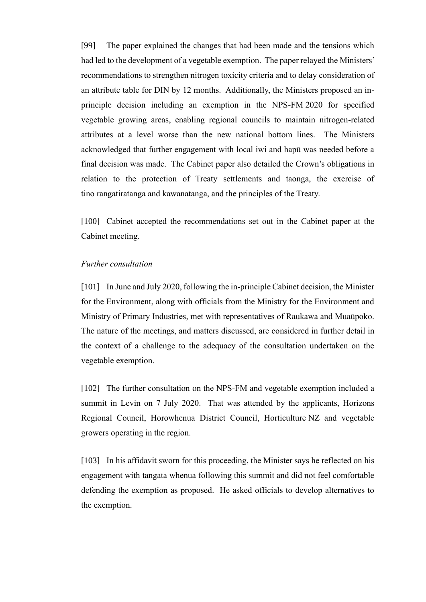[99] The paper explained the changes that had been made and the tensions which had led to the development of a vegetable exemption. The paper relayed the Ministers' recommendations to strengthen nitrogen toxicity criteria and to delay consideration of an attribute table for DIN by 12 months. Additionally, the Ministers proposed an inprinciple decision including an exemption in the NPS-FM 2020 for specified vegetable growing areas, enabling regional councils to maintain nitrogen-related attributes at a level worse than the new national bottom lines. The Ministers acknowledged that further engagement with local iwi and hapū was needed before a final decision was made. The Cabinet paper also detailed the Crown's obligations in relation to the protection of Treaty settlements and taonga, the exercise of tino rangatiratanga and kawanatanga, and the principles of the Treaty.

[100] Cabinet accepted the recommendations set out in the Cabinet paper at the Cabinet meeting.

### <span id="page-29-0"></span>*Further consultation*

[101] In June and July 2020, following the in-principle Cabinet decision, the Minister for the Environment, along with officials from the Ministry for the Environment and Ministry of Primary Industries, met with representatives of Raukawa and Muaūpoko. The nature of the meetings, and matters discussed, are considered in further detail in the context of a challenge to the adequacy of the consultation undertaken on the vegetable exemption.

[102] The further consultation on the NPS-FM and vegetable exemption included a summit in Levin on 7 July 2020. That was attended by the applicants, Horizons Regional Council, Horowhenua District Council, Horticulture NZ and vegetable growers operating in the region.

[103] In his affidavit sworn for this proceeding, the Minister says he reflected on his engagement with tangata whenua following this summit and did not feel comfortable defending the exemption as proposed. He asked officials to develop alternatives to the exemption.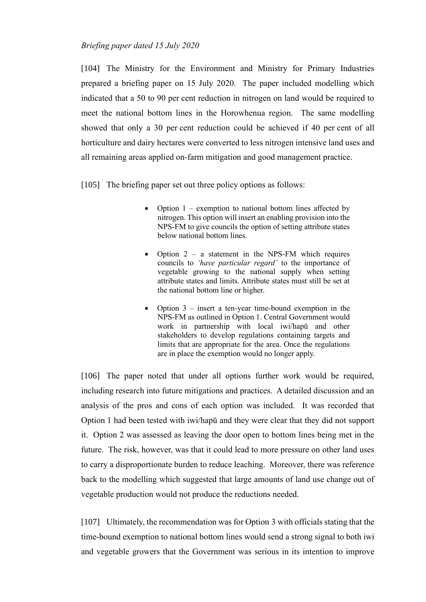# <span id="page-30-0"></span>*Briefing paper dated 15 July 2020*

[104] The Ministry for the Environment and Ministry for Primary Industries prepared a briefing paper on 15 July 2020. The paper included modelling which indicated that a 50 to 90 per cent reduction in nitrogen on land would be required to meet the national bottom lines in the Horowhenua region. The same modelling showed that only a 30 per cent reduction could be achieved if 40 per cent of all horticulture and dairy hectares were converted to less nitrogen intensive land uses and all remaining areas applied on-farm mitigation and good management practice.

[105] The briefing paper set out three policy options as follows:

- Option 1 exemption to national bottom lines affected by nitrogen. This option will insert an enabling provision into the NPS-FM to give councils the option of setting attribute states below national bottom lines.
- Option  $2 a$  statement in the NPS-FM which requires councils to *'have particular regard'* to the importance of vegetable growing to the national supply when setting attribute states and limits. Attribute states must still be set at the national bottom line or higher.
- Option 3 insert a ten-year time-bound exemption in the NPS-FM as outlined in Option 1. Central Government would work in partnership with local iwi/hapū and other stakeholders to develop regulations containing targets and limits that are appropriate for the area. Once the regulations are in place the exemption would no longer apply.

[106] The paper noted that under all options further work would be required, including research into future mitigations and practices. A detailed discussion and an analysis of the pros and cons of each option was included. It was recorded that Option 1 had been tested with iwi/hapū and they were clear that they did not support it. Option 2 was assessed as leaving the door open to bottom lines being met in the future. The risk, however, was that it could lead to more pressure on other land uses to carry a disproportionate burden to reduce leaching. Moreover, there was reference back to the modelling which suggested that large amounts of land use change out of vegetable production would not produce the reductions needed.

[107] Ultimately, the recommendation was for Option 3 with officials stating that the time-bound exemption to national bottom lines would send a strong signal to both iwi and vegetable growers that the Government was serious in its intention to improve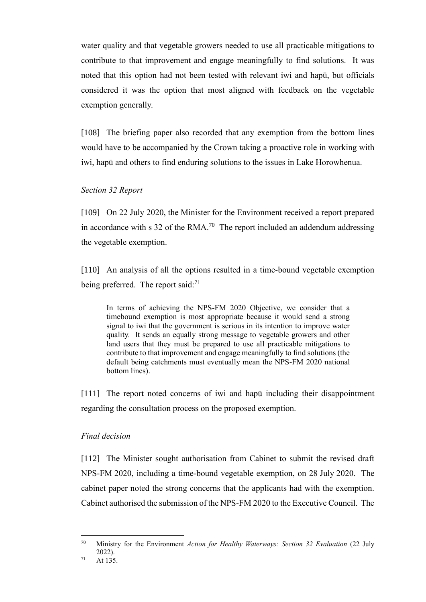water quality and that vegetable growers needed to use all practicable mitigations to contribute to that improvement and engage meaningfully to find solutions. It was noted that this option had not been tested with relevant iwi and hapū, but officials considered it was the option that most aligned with feedback on the vegetable exemption generally.

[108] The briefing paper also recorded that any exemption from the bottom lines would have to be accompanied by the Crown taking a proactive role in working with iwi, hapū and others to find enduring solutions to the issues in Lake Horowhenua.

#### <span id="page-31-0"></span>*Section 32 Report*

[109] On 22 July 2020, the Minister for the Environment received a report prepared in accordance with s 32 of the RMA.<sup>70</sup> The report included an addendum addressing the vegetable exemption.

[110] An analysis of all the options resulted in a time-bound vegetable exemption being preferred. The report said:<sup>71</sup>

In terms of achieving the NPS-FM 2020 Objective, we consider that a timebound exemption is most appropriate because it would send a strong signal to iwi that the government is serious in its intention to improve water quality. It sends an equally strong message to vegetable growers and other land users that they must be prepared to use all practicable mitigations to contribute to that improvement and engage meaningfully to find solutions (the default being catchments must eventually mean the NPS-FM 2020 national bottom lines).

[111] The report noted concerns of iwi and hapū including their disappointment regarding the consultation process on the proposed exemption.

#### <span id="page-31-1"></span>*Final decision*

[112] The Minister sought authorisation from Cabinet to submit the revised draft NPS-FM 2020, including a time-bound vegetable exemption, on 28 July 2020. The cabinet paper noted the strong concerns that the applicants had with the exemption. Cabinet authorised the submission of the NPS-FM 2020 to the Executive Council. The

<sup>70</sup> Ministry for the Environment *Action for Healthy Waterways: Section 32 Evaluation* (22 July 2022).

 $71$  At 135.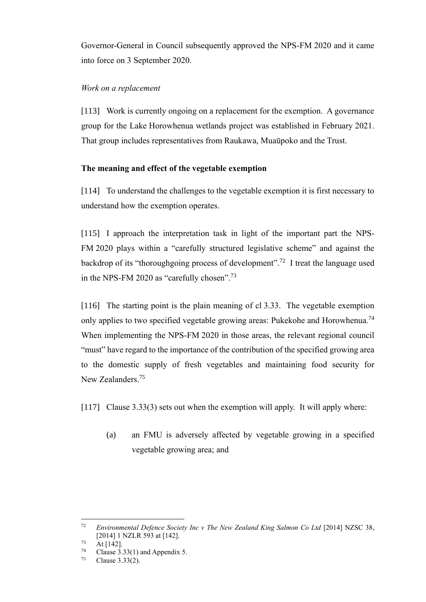Governor-General in Council subsequently approved the NPS-FM 2020 and it came into force on 3 September 2020.

# <span id="page-32-0"></span>*Work on a replacement*

[113] Work is currently ongoing on a replacement for the exemption. A governance group for the Lake Horowhenua wetlands project was established in February 2021. That group includes representatives from Raukawa, Muaūpoko and the Trust.

# <span id="page-32-1"></span>**The meaning and effect of the vegetable exemption**

<span id="page-32-2"></span>[114] To understand the challenges to the vegetable exemption it is first necessary to understand how the exemption operates.

[115] I approach the interpretation task in light of the important part the NPS-FM 2020 plays within a "carefully structured legislative scheme" and against the backdrop of its "thoroughgoing process of development".<sup>72</sup> I treat the language used in the NPS-FM 2020 as "carefully chosen".<sup>73</sup>

[116] The starting point is the plain meaning of cl 3.33. The vegetable exemption only applies to two specified vegetable growing areas: Pukekohe and Horowhenua.<sup>74</sup> When implementing the NPS-FM 2020 in those areas, the relevant regional council "must" have regard to the importance of the contribution of the specified growing area to the domestic supply of fresh vegetables and maintaining food security for New Zealanders.<sup>75</sup>

[117] Clause 3.33(3) sets out when the exemption will apply. It will apply where:

(a) an FMU is adversely affected by vegetable growing in a specified vegetable growing area; and

<sup>&</sup>lt;sup>72</sup> *Environmental Defence Society Inc v The New Zealand King Salmon Co Ltd* [2014] NZSC 38, [2014] 1 NZLR 593 at [142].

 $\frac{73}{74}$  At [142].

<sup>&</sup>lt;sup>74</sup> Clause 3.33(1) and Appendix 5.<br> $\frac{75}{75}$  Clause 3.32(2)

Clause 3.33(2).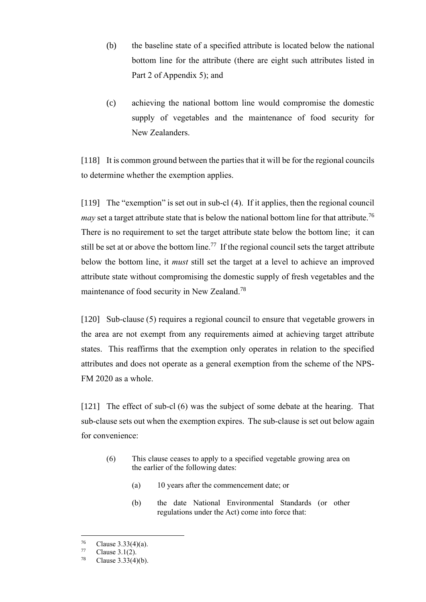- (b) the baseline state of a specified attribute is located below the national bottom line for the attribute (there are eight such attributes listed in Part 2 of Appendix 5); and
- (c) achieving the national bottom line would compromise the domestic supply of vegetables and the maintenance of food security for New Zealanders.

[118] It is common ground between the parties that it will be for the regional councils to determine whether the exemption applies.

[119] The "exemption" is set out in sub-cl (4). If it applies, then the regional council *may* set a target attribute state that is below the national bottom line for that attribute.<sup>76</sup> There is no requirement to set the target attribute state below the bottom line; it can still be set at or above the bottom line.<sup>77</sup> If the regional council sets the target attribute below the bottom line, it *must* still set the target at a level to achieve an improved attribute state without compromising the domestic supply of fresh vegetables and the maintenance of food security in New Zealand.<sup>78</sup>

[120] Sub-clause (5) requires a regional council to ensure that vegetable growers in the area are not exempt from any requirements aimed at achieving target attribute states. This reaffirms that the exemption only operates in relation to the specified attributes and does not operate as a general exemption from the scheme of the NPS-FM 2020 as a whole.

[121] The effect of sub-cl (6) was the subject of some debate at the hearing. That sub-clause sets out when the exemption expires. The sub-clause is set out below again for convenience:

- (6) This clause ceases to apply to a specified vegetable growing area on the earlier of the following dates:
	- (a) 10 years after the commencement date; or
	- (b) the date National Environmental Standards (or other regulations under the Act) come into force that:

 $^{76}$  Clause 3.33(4)(a).<br>  $^{77}$  Clause 3.1(2)

 $^{77}$  Clause 3.1(2).

Clause  $3.33(4)(b)$ .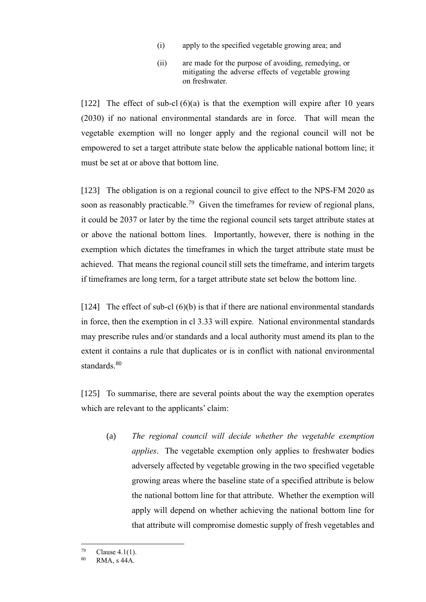- (i) apply to the specified vegetable growing area; and
- (ii) are made for the purpose of avoiding, remedying, or mitigating the adverse effects of vegetable growing on freshwater.

[122] The effect of sub-cl  $(6)(a)$  is that the exemption will expire after 10 years (2030) if no national environmental standards are in force. That will mean the vegetable exemption will no longer apply and the regional council will not be empowered to set a target attribute state below the applicable national bottom line; it must be set at or above that bottom line.

[123] The obligation is on a regional council to give effect to the NPS-FM 2020 as soon as reasonably practicable.<sup>79</sup> Given the timeframes for review of regional plans, it could be 2037 or later by the time the regional council sets target attribute states at or above the national bottom lines. Importantly, however, there is nothing in the exemption which dictates the timeframes in which the target attribute state must be achieved. That means the regional council still sets the timeframe, and interim targets if timeframes are long term, for a target attribute state set below the bottom line.

[124] The effect of sub-cl  $(6)(b)$  is that if there are national environmental standards in force, then the exemption in cl 3.33 will expire. National environmental standards may prescribe rules and/or standards and a local authority must amend its plan to the extent it contains a rule that duplicates or is in conflict with national environmental standards. 80

[125] To summarise, there are several points about the way the exemption operates which are relevant to the applicants' claim:

(a) *The regional council will decide whether the vegetable exemption applies*. The vegetable exemption only applies to freshwater bodies adversely affected by vegetable growing in the two specified vegetable growing areas where the baseline state of a specified attribute is below the national bottom line for that attribute. Whether the exemption will apply will depend on whether achieving the national bottom line for that attribute will compromise domestic supply of fresh vegetables and

 $^{79}$  Clause 4.1(1).<br>80 **DMA**  $_2$  44A

RMA, s 44A.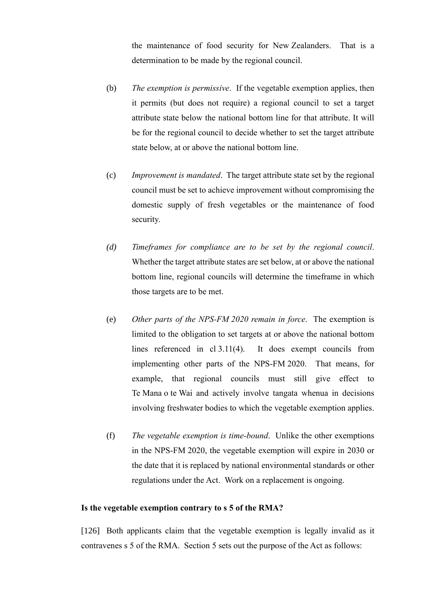the maintenance of food security for New Zealanders. That is a determination to be made by the regional council.

- (b) *The exemption is permissive*. If the vegetable exemption applies, then it permits (but does not require) a regional council to set a target attribute state below the national bottom line for that attribute. It will be for the regional council to decide whether to set the target attribute state below, at or above the national bottom line.
- (c) *Improvement is mandated*. The target attribute state set by the regional council must be set to achieve improvement without compromising the domestic supply of fresh vegetables or the maintenance of food security.
- *(d) Timeframes for compliance are to be set by the regional council*. Whether the target attribute states are set below, at or above the national bottom line, regional councils will determine the timeframe in which those targets are to be met.
- (e) *Other parts of the NPS-FM 2020 remain in force*. The exemption is limited to the obligation to set targets at or above the national bottom lines referenced in cl 3.11(4). It does exempt councils from implementing other parts of the NPS-FM 2020. That means, for example, that regional councils must still give effect to Te Mana o te Wai and actively involve tangata whenua in decisions involving freshwater bodies to which the vegetable exemption applies.
- (f) *The vegetable exemption is time-bound*. Unlike the other exemptions in the NPS-FM 2020, the vegetable exemption will expire in 2030 or the date that it is replaced by national environmental standards or other regulations under the Act. Work on a replacement is ongoing.

### <span id="page-35-0"></span>**Is the vegetable exemption contrary to s 5 of the RMA?**

[126] Both applicants claim that the vegetable exemption is legally invalid as it contravenes s 5 of the RMA. Section 5 sets out the purpose of the Act as follows: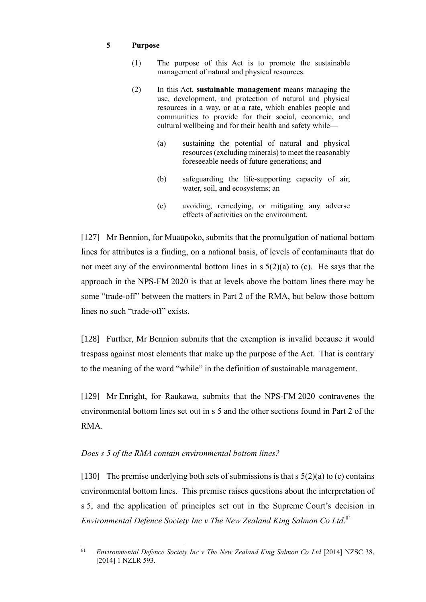# **5 Purpose**

- (1) The purpose of this Act is to promote the sustainable management of natural and physical resources.
- (2) In this Act, **sustainable management** means managing the use, development, and protection of natural and physical resources in a way, or at a rate, which enables people and communities to provide for their social, economic, and cultural wellbeing and for their health and safety while—
	- (a) sustaining the potential of natural and physical resources(excluding minerals) to meet the reasonably foreseeable needs of future generations; and
	- (b) safeguarding the life-supporting capacity of air, water, soil, and ecosystems; an
	- (c) avoiding, remedying, or mitigating any adverse effects of activities on the environment.

[127] Mr Bennion, for Muaūpoko, submits that the promulgation of national bottom lines for attributes is a finding, on a national basis, of levels of contaminants that do not meet any of the environmental bottom lines in  $s \frac{5(2)}{a}$  to (c). He says that the approach in the NPS-FM 2020 is that at levels above the bottom lines there may be some "trade-off" between the matters in Part 2 of the RMA, but below those bottom lines no such "trade-off" exists.

[128] Further, Mr Bennion submits that the exemption is invalid because it would trespass against most elements that make up the purpose of the Act. That is contrary to the meaning of the word "while" in the definition of sustainable management.

[129] Mr Enright, for Raukawa, submits that the NPS-FM 2020 contravenes the environmental bottom lines set out in s 5 and the other sections found in Part 2 of the RMA.

# *Does s 5 of the RMA contain environmental bottom lines?*

[130] The premise underlying both sets of submissions is that  $s \frac{5(2)}{a}$  to (c) contains environmental bottom lines. This premise raises questions about the interpretation of s 5, and the application of principles set out in the Supreme Court's decision in *Environmental Defence Society Inc v The New Zealand King Salmon Co Ltd*. 81

<sup>81</sup> *Environmental Defence Society Inc v The New Zealand King Salmon Co Ltd* [2014] NZSC 38, [2014] 1 NZLR 593.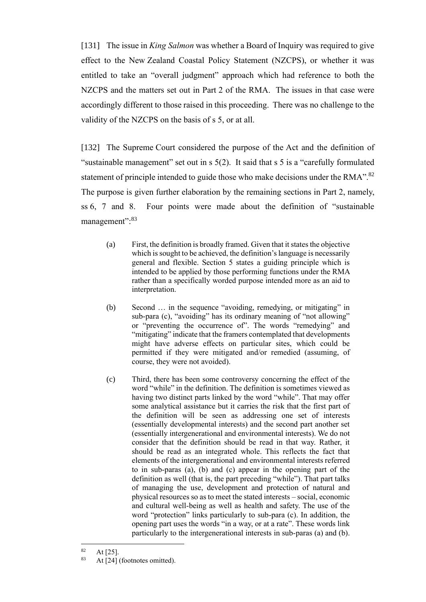[131] The issue in *King Salmon* was whether a Board of Inquiry was required to give effect to the New Zealand Coastal Policy Statement (NZCPS), or whether it was entitled to take an "overall judgment" approach which had reference to both the NZCPS and the matters set out in Part 2 of the RMA. The issues in that case were accordingly different to those raised in this proceeding. There was no challenge to the validity of the NZCPS on the basis of s 5, or at all.

<span id="page-37-0"></span>[132] The Supreme Court considered the purpose of the Act and the definition of "sustainable management" set out in s 5(2). It said that s 5 is a "carefully formulated statement of principle intended to guide those who make decisions under the RMA". $^{82}$ The purpose is given further elaboration by the remaining sections in Part 2, namely, ss 6, 7 and 8. Four points were made about the definition of "sustainable management":<sup>83</sup>

- (a) First, the definition is broadly framed. Given that it states the objective which is sought to be achieved, the definition's language is necessarily general and flexible. Section 5 states a guiding principle which is intended to be applied by those performing functions under the RMA rather than a specifically worded purpose intended more as an aid to interpretation.
- (b) Second … in the sequence "avoiding, remedying, or mitigating" in sub-para (c), "avoiding" has its ordinary meaning of "not allowing" or "preventing the occurrence of". The words "remedying" and "mitigating" indicate that the framers contemplated that developments might have adverse effects on particular sites, which could be permitted if they were mitigated and/or remedied (assuming, of course, they were not avoided).
- (c) Third, there has been some controversy concerning the effect of the word "while" in the definition. The definition is sometimes viewed as having two distinct parts linked by the word "while". That may offer some analytical assistance but it carries the risk that the first part of the definition will be seen as addressing one set of interests (essentially developmental interests) and the second part another set (essentially intergenerational and environmental interests). We do not consider that the definition should be read in that way. Rather, it should be read as an integrated whole. This reflects the fact that elements of the intergenerational and environmental interests referred to in sub-paras (a), (b) and (c) appear in the opening part of the definition as well (that is, the part preceding "while"). That part talks of managing the use, development and protection of natural and physical resources so as to meet the stated interests – social, economic and cultural well-being as well as health and safety. The use of the word "protection" links particularly to sub-para (c). In addition, the opening part uses the words "in a way, or at a rate". These words link particularly to the intergenerational interests in sub-paras (a) and (b).

 $\frac{82}{83}$  At [25].

At [24] (footnotes omitted).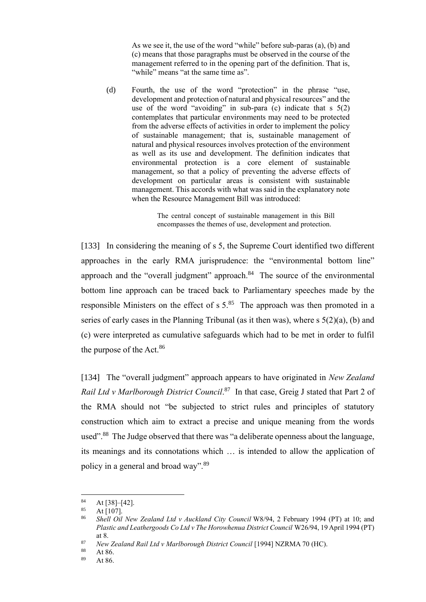As we see it, the use of the word "while" before sub-paras (a), (b) and (c) means that those paragraphs must be observed in the course of the management referred to in the opening part of the definition. That is, "while" means "at the same time as".

(d) Fourth, the use of the word "protection" in the phrase "use, development and protection of natural and physical resources" and the use of the word "avoiding" in sub-para (c) indicate that s 5(2) contemplates that particular environments may need to be protected from the adverse effects of activities in order to implement the policy of sustainable management; that is, sustainable management of natural and physical resources involves protection of the environment as well as its use and development. The definition indicates that environmental protection is a core element of sustainable management, so that a policy of preventing the adverse effects of development on particular areas is consistent with sustainable management. This accords with what was said in the explanatory note when the Resource Management Bill was introduced:

> The central concept of sustainable management in this Bill encompasses the themes of use, development and protection.

[133] In considering the meaning of s 5, the Supreme Court identified two different approaches in the early RMA jurisprudence: the "environmental bottom line" approach and the "overall judgment" approach.<sup>84</sup> The source of the environmental bottom line approach can be traced back to Parliamentary speeches made by the responsible Ministers on the effect of  $s 5$ .<sup>85</sup> The approach was then promoted in a series of early cases in the Planning Tribunal (as it then was), where s 5(2)(a), (b) and (c) were interpreted as cumulative safeguards which had to be met in order to fulfil the purpose of the Act.<sup>86</sup>

[134] The "overall judgment" approach appears to have originated in *New Zealand*  Rail Ltd v Marlborough District Council.<sup>87</sup> In that case, Greig J stated that Part 2 of the RMA should not "be subjected to strict rules and principles of statutory construction which aim to extract a precise and unique meaning from the words used".<sup>88</sup> The Judge observed that there was "a deliberate openness about the language, its meanings and its connotations which … is intended to allow the application of policy in a general and broad way".<sup>89</sup>

At 86.

 $\frac{84}{85}$  At [38]–[42].

At  $[107]$ .

<sup>86</sup> *Shell Oil New Zealand Ltd v Auckland City Council* W8/94, 2 February 1994 (PT) at 10; and *Plastic and Leathergoods Co Ltd v The Horowhenua District Council* W26/94, 19 April 1994 (PT) at 8.

<sup>87</sup> *New Zealand Rail Ltd v Marlborough District Council* [1994] NZRMA 70 (HC).

 $88$  At 86.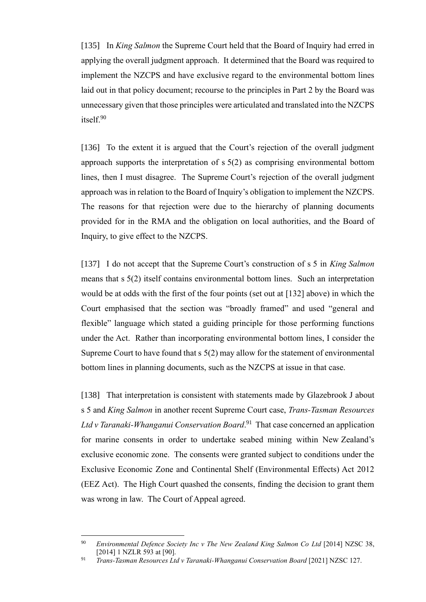[135] In *King Salmon* the Supreme Court held that the Board of Inquiry had erred in applying the overall judgment approach. It determined that the Board was required to implement the NZCPS and have exclusive regard to the environmental bottom lines laid out in that policy document; recourse to the principles in Part 2 by the Board was unnecessary given that those principles were articulated and translated into the NZCPS itself.<sup>90</sup>

[136] To the extent it is argued that the Court's rejection of the overall judgment approach supports the interpretation of s 5(2) as comprising environmental bottom lines, then I must disagree. The Supreme Court's rejection of the overall judgment approach was in relation to the Board of Inquiry's obligation to implement the NZCPS. The reasons for that rejection were due to the hierarchy of planning documents provided for in the RMA and the obligation on local authorities, and the Board of Inquiry, to give effect to the NZCPS.

[137] I do not accept that the Supreme Court's construction of s 5 in *King Salmon* means that s 5(2) itself contains environmental bottom lines. Such an interpretation would be at odds with the first of the four points (set out at [\[132\]](#page-37-0) above) in which the Court emphasised that the section was "broadly framed" and used "general and flexible" language which stated a guiding principle for those performing functions under the Act. Rather than incorporating environmental bottom lines, I consider the Supreme Court to have found that s 5(2) may allow for the statement of environmental bottom lines in planning documents, such as the NZCPS at issue in that case.

[138] That interpretation is consistent with statements made by Glazebrook J about s 5 and *King Salmon* in another recent Supreme Court case, *Trans-Tasman Resources Ltd v Taranaki-Whanganui Conservation Board*. 91 That case concerned an application for marine consents in order to undertake seabed mining within New Zealand's exclusive economic zone. The consents were granted subject to conditions under the Exclusive Economic Zone and Continental Shelf (Environmental Effects) Act 2012 (EEZ Act). The High Court quashed the consents, finding the decision to grant them was wrong in law. The Court of Appeal agreed.

<sup>90</sup> *Environmental Defence Society Inc v The New Zealand King Salmon Co Ltd* [2014] NZSC 38, [2014] 1 NZLR 593 at [90].

<sup>&</sup>lt;sup>91</sup> *Trans-Tasman Resources Ltd v Taranaki-Whanganui Conservation Board* [2021] NZSC 127.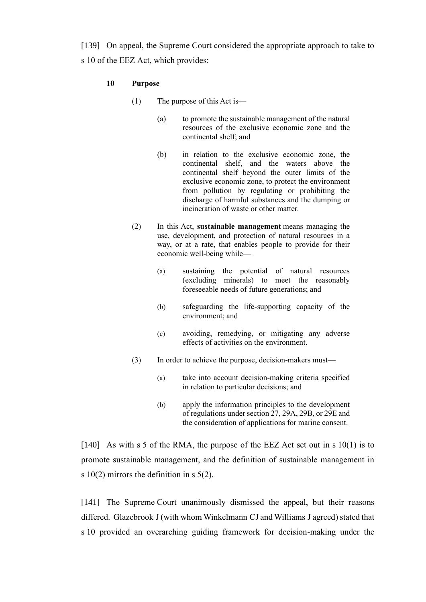[139] On appeal, the Supreme Court considered the appropriate approach to take to s 10 of the EEZ Act, which provides:

## **10 Purpose**

- (1) The purpose of this Act is—
	- (a) to promote the sustainable management of the natural resources of the exclusive economic zone and the continental shelf; and
	- (b) in relation to the exclusive economic zone, the continental shelf, and the waters above the continental shelf beyond the outer limits of the exclusive economic zone, to protect the environment from pollution by regulating or prohibiting the discharge of harmful substances and the dumping or incineration of waste or other matter.
- (2) In this Act, **sustainable management** means managing the use, development, and protection of natural resources in a way, or at a rate, that enables people to provide for their economic well-being while—
	- (a) sustaining the potential of natural resources (excluding minerals) to meet the reasonably foreseeable needs of future generations; and
	- (b) safeguarding the life-supporting capacity of the environment; and
	- (c) avoiding, remedying, or mitigating any adverse effects of activities on the environment.
- (3) In order to achieve the purpose, decision-makers must—
	- (a) take into account decision-making criteria specified in relation to particular decisions; and
	- (b) apply the information principles to the development of regulations under [section](https://www.legislation.govt.nz/act/public/2012/0072/latest/link.aspx?id=DLM3956172#DLM3956172) 27, [29A,](https://www.legislation.govt.nz/act/public/2012/0072/latest/link.aspx?id=DLM5965677#DLM5965677) [29B,](https://www.legislation.govt.nz/act/public/2012/0072/latest/link.aspx?id=DLM5965678#DLM5965678) or [29E](https://www.legislation.govt.nz/act/public/2012/0072/latest/link.aspx?id=DLM7284708#DLM7284708) and the consideration of applications for marine consent.

[140] As with s 5 of the RMA, the purpose of the EEZ Act set out in s  $10(1)$  is to promote sustainable management, and the definition of sustainable management in s  $10(2)$  mirrors the definition in s  $5(2)$ .

[141] The Supreme Court unanimously dismissed the appeal, but their reasons differed. Glazebrook J (with whom Winkelmann CJ and Williams J agreed) stated that s 10 provided an overarching guiding framework for decision-making under the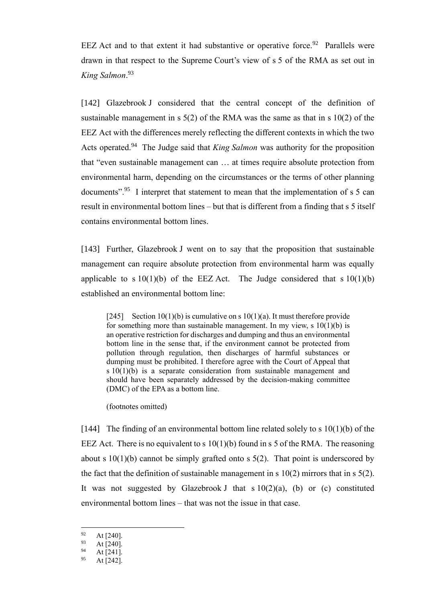EEZ Act and to that extent it had substantive or operative force.<sup>92</sup> Parallels were drawn in that respect to the Supreme Court's view of s 5 of the RMA as set out in *King Salmon*. 93

[142] Glazebrook J considered that the central concept of the definition of sustainable management in s 5(2) of the RMA was the same as that in s 10(2) of the EEZ Act with the differences merely reflecting the different contexts in which the two Acts operated.<sup>94</sup> The Judge said that *King Salmon* was authority for the proposition that "even sustainable management can … at times require absolute protection from environmental harm, depending on the circumstances or the terms of other planning documents".<sup>95</sup> I interpret that statement to mean that the implementation of s 5 can result in environmental bottom lines – but that is different from a finding that s 5 itself contains environmental bottom lines.

[143] Further, Glazebrook J went on to say that the proposition that sustainable management can require absolute protection from environmental harm was equally applicable to s  $10(1)(b)$  of the EEZ Act. The Judge considered that s  $10(1)(b)$ established an environmental bottom line:

[245] Section 10(1)(b) is cumulative on s  $10(1)(a)$ . It must therefore provide for something more than sustainable management. In my view, s  $10(1)(b)$  is an operative restriction for discharges and dumping and thus an environmental bottom line in the sense that, if the environment cannot be protected from pollution through regulation, then discharges of harmful substances or dumping must be prohibited. I therefore agree with the Court of Appeal that s 10(1)(b) is a separate consideration from sustainable management and should have been separately addressed by the decision-making committee (DMC) of the EPA as a bottom line.

(footnotes omitted)

[144] The finding of an environmental bottom line related solely to s  $10(1)(b)$  of the EEZ Act. There is no equivalent to s  $10(1)(b)$  found in s 5 of the RMA. The reasoning about s  $10(1)(b)$  cannot be simply grafted onto s  $5(2)$ . That point is underscored by the fact that the definition of sustainable management in s  $10(2)$  mirrors that in s  $5(2)$ . It was not suggested by Glazebrook J that  $s 10(2)(a)$ , (b) or (c) constituted environmental bottom lines – that was not the issue in that case.

 $^{92}_{93}$  At [240].

 $^{93}_{94}$  At [240].

 $^{94}$  At [241].

At [242].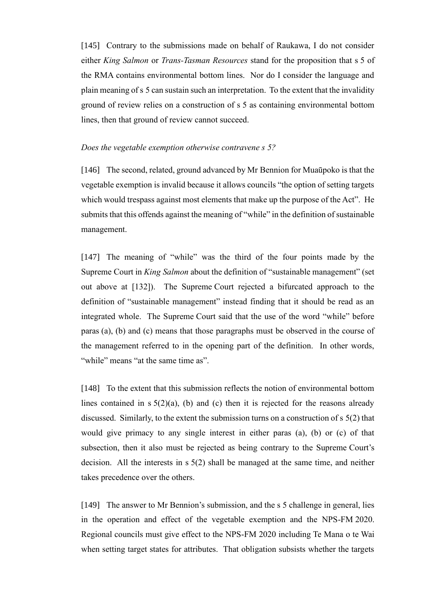[145] Contrary to the submissions made on behalf of Raukawa, I do not consider either *King Salmon* or *Trans-Tasman Resources* stand for the proposition that s 5 of the RMA contains environmental bottom lines. Nor do I consider the language and plain meaning of s 5 can sustain such an interpretation. To the extent that the invalidity ground of review relies on a construction of s 5 as containing environmental bottom lines, then that ground of review cannot succeed.

## *Does the vegetable exemption otherwise contravene s 5?*

[146] The second, related, ground advanced by Mr Bennion for Muaūpoko is that the vegetable exemption is invalid because it allows councils "the option of setting targets which would trespass against most elements that make up the purpose of the Act". He submits that this offends against the meaning of "while" in the definition of sustainable management.

[147] The meaning of "while" was the third of the four points made by the Supreme Court in *King Salmon* about the definition of "sustainable management" (set out above at [\[132\]\)](#page-37-0). The Supreme Court rejected a bifurcated approach to the definition of "sustainable management" instead finding that it should be read as an integrated whole. The Supreme Court said that the use of the word "while" before paras (a), (b) and (c) means that those paragraphs must be observed in the course of the management referred to in the opening part of the definition. In other words, "while" means "at the same time as".

[148] To the extent that this submission reflects the notion of environmental bottom lines contained in  $s \frac{5(2)}{a}$ , (b) and (c) then it is rejected for the reasons already discussed. Similarly, to the extent the submission turns on a construction of s 5(2) that would give primacy to any single interest in either paras (a), (b) or (c) of that subsection, then it also must be rejected as being contrary to the Supreme Court's decision. All the interests in s 5(2) shall be managed at the same time, and neither takes precedence over the others.

[149] The answer to Mr Bennion's submission, and the s 5 challenge in general, lies in the operation and effect of the vegetable exemption and the NPS-FM 2020. Regional councils must give effect to the NPS-FM 2020 including Te Mana o te Wai when setting target states for attributes. That obligation subsists whether the targets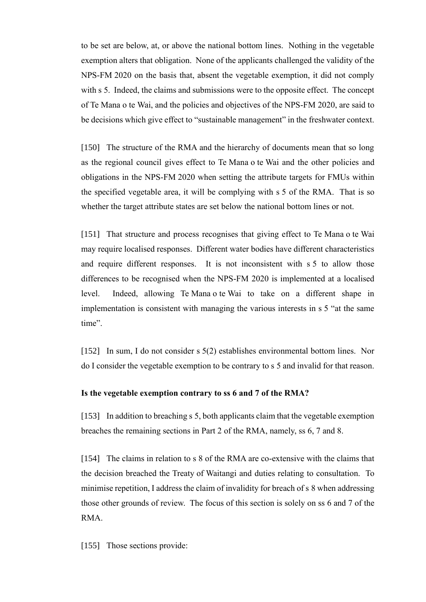to be set are below, at, or above the national bottom lines. Nothing in the vegetable exemption alters that obligation. None of the applicants challenged the validity of the NPS-FM 2020 on the basis that, absent the vegetable exemption, it did not comply with s 5. Indeed, the claims and submissions were to the opposite effect. The concept of Te Mana o te Wai, and the policies and objectives of the NPS-FM 2020, are said to be decisions which give effect to "sustainable management" in the freshwater context.

[150] The structure of the RMA and the hierarchy of documents mean that so long as the regional council gives effect to Te Mana o te Wai and the other policies and obligations in the NPS-FM 2020 when setting the attribute targets for FMUs within the specified vegetable area, it will be complying with s 5 of the RMA. That is so whether the target attribute states are set below the national bottom lines or not.

[151] That structure and process recognises that giving effect to Te Mana o te Wai may require localised responses. Different water bodies have different characteristics and require different responses. It is not inconsistent with s 5 to allow those differences to be recognised when the NPS-FM 2020 is implemented at a localised level. Indeed, allowing Te Mana o te Wai to take on a different shape in implementation is consistent with managing the various interests in s 5 "at the same time".

[152] In sum, I do not consider s 5(2) establishes environmental bottom lines. Nor do I consider the vegetable exemption to be contrary to s 5 and invalid for that reason.

# **Is the vegetable exemption contrary to ss 6 and 7 of the RMA?**

<span id="page-43-1"></span>[153] In addition to breaching s 5, both applicants claim that the vegetable exemption breaches the remaining sections in Part 2 of the RMA, namely, ss 6, 7 and 8.

[154] The claims in relation to s 8 of the RMA are co-extensive with the claims that the decision breached the Treaty of Waitangi and duties relating to consultation. To minimise repetition, I address the claim of invalidity for breach of s 8 when addressing those other grounds of review. The focus of this section is solely on ss 6 and 7 of the RMA.

<span id="page-43-0"></span>[155] Those sections provide: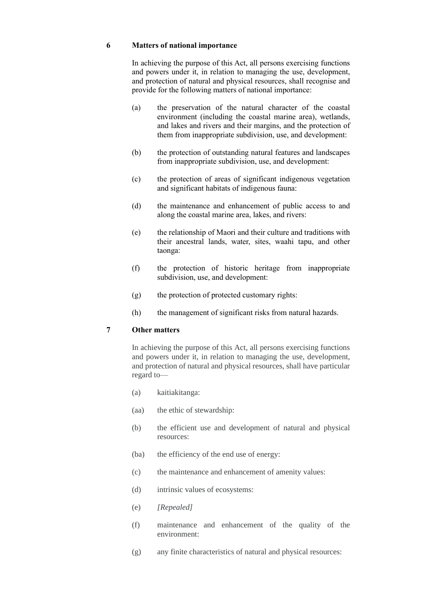#### **6 Matters of national importance**

In achieving the purpose of this Act, all persons exercising functions and powers under it, in relation to managing the use, development, and protection of natural and physical resources, shall recognise and provide for the following matters of national importance:

- (a) the preservation of the natural character of the coastal environment (including the coastal marine area), wetlands, and lakes and rivers and their margins, and the protection of them from inappropriate subdivision, use, and development:
- (b) the protection of outstanding natural features and landscapes from inappropriate subdivision, use, and development:
- (c) the protection of areas of significant indigenous vegetation and significant habitats of indigenous fauna:
- (d) the maintenance and enhancement of public access to and along the coastal marine area, lakes, and rivers:
- (e) the relationship of Maori and their culture and traditions with their ancestral lands, water, sites, waahi tapu, and other taonga:
- (f) the protection of historic heritage from inappropriate subdivision, use, and development:
- (g) the protection of protected customary rights:
- (h) the management of significant risks from natural hazards.

### **7 Other matters**

In achieving the purpose of this Act, all persons exercising functions and powers under it, in relation to managing the use, development, and protection of natural and physical resources, shall have particular regard to—

- (a) kaitiakitanga:
- (aa) the ethic of stewardship:
- (b) the efficient use and development of natural and physical resources:
- (ba) the efficiency of the end use of energy:
- (c) the maintenance and enhancement of amenity values:
- (d) intrinsic values of ecosystems:
- (e) *[Repealed]*
- (f) maintenance and enhancement of the quality of the environment:
- (g) any finite characteristics of natural and physical resources: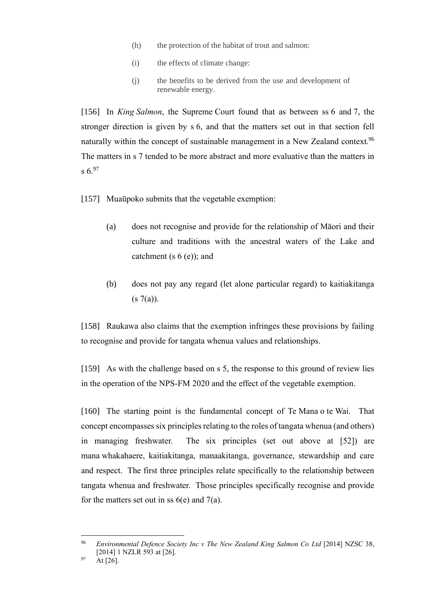- (h) the protection of the habitat of trout and salmon:
- (i) the effects of climate change:
- (j) the benefits to be derived from the use and development of renewable energy.

[156] In *King Salmon*, the Supreme Court found that as between ss 6 and 7, the stronger direction is given by s 6, and that the matters set out in that section fell naturally within the concept of sustainable management in a New Zealand context.<sup>96</sup> The matters in s 7 tended to be more abstract and more evaluative than the matters in  $s \, 6.97$ 

- [157] Muaūpoko submits that the vegetable exemption:
	- (a) does not recognise and provide for the relationship of Māori and their culture and traditions with the ancestral waters of the Lake and catchment (s  $6$  (e)); and
	- (b) does not pay any regard (let alone particular regard) to kaitiakitanga  $(s 7(a)).$

[158] Raukawa also claims that the exemption infringes these provisions by failing to recognise and provide for tangata whenua values and relationships.

[159] As with the challenge based on s 5, the response to this ground of review lies in the operation of the NPS-FM 2020 and the effect of the vegetable exemption.

[160] The starting point is the fundamental concept of Te Mana o te Wai. That concept encompasses six principles relating to the roles of tangata whenua (and others) in managing freshwater. The six principles (set out above at [\[52\]\)](#page-15-0) are mana whakahaere, kaitiakitanga, manaakitanga, governance, stewardship and care and respect. The first three principles relate specifically to the relationship between tangata whenua and freshwater. Those principles specifically recognise and provide for the matters set out in ss  $6(e)$  and  $7(a)$ .

<sup>96</sup> *Environmental Defence Society Inc v The New Zealand King Salmon Co Ltd* [2014] NZSC 38, [2014] 1 NZLR 593 at [26].

 $^{97}$  At [26].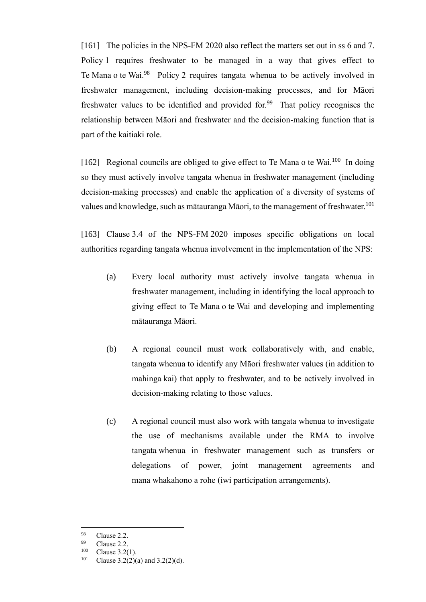[161] The policies in the NPS-FM 2020 also reflect the matters set out in ss 6 and 7. Policy 1 requires freshwater to be managed in a way that gives effect to Te Mana o te Wai.<sup>98</sup> Policy 2 requires tangata whenua to be actively involved in freshwater management, including decision-making processes, and for Māori freshwater values to be identified and provided for.<sup>99</sup> That policy recognises the relationship between Māori and freshwater and the decision-making function that is part of the kaitiaki role.

[162] Regional councils are obliged to give effect to Te Mana o te Wai.<sup>100</sup> In doing so they must actively involve tangata whenua in freshwater management (including decision-making processes) and enable the application of a diversity of systems of values and knowledge, such as mātauranga Māori, to the management of freshwater.<sup>101</sup>

[163] Clause 3.4 of the NPS-FM 2020 imposes specific obligations on local authorities regarding tangata whenua involvement in the implementation of the NPS:

- (a) Every local authority must actively involve tangata whenua in freshwater management, including in identifying the local approach to giving effect to Te Mana o te Wai and developing and implementing mātauranga Māori.
- (b) A regional council must work collaboratively with, and enable, tangata whenua to identify any Māori freshwater values (in addition to mahinga kai) that apply to freshwater, and to be actively involved in decision-making relating to those values.
- (c) A regional council must also work with tangata whenua to investigate the use of mechanisms available under the RMA to involve tangata whenua in freshwater management such as transfers or delegations of power, joint management agreements and mana whakahono a rohe (iwi participation arrangements).

 $\frac{98}{99}$  Clause 2.2.

Clause 2.2.

 $^{100}$  Clause 3.2(1).<br> $^{101}$  Clause 3.2(2)(

Clause  $3.2(2)(a)$  and  $3.2(2)(d)$ .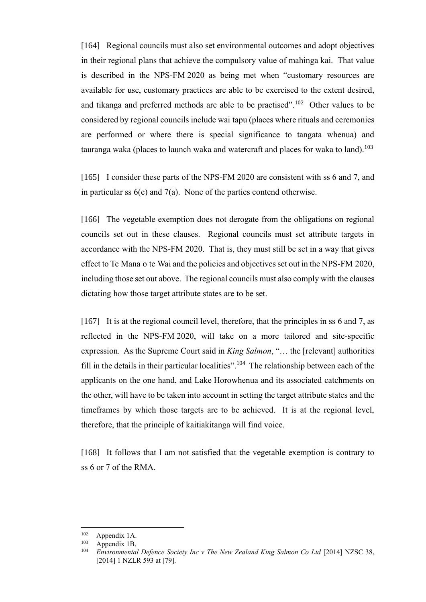[164] Regional councils must also set environmental outcomes and adopt objectives in their regional plans that achieve the compulsory value of mahinga kai. That value is described in the NPS-FM 2020 as being met when "customary resources are available for use, customary practices are able to be exercised to the extent desired, and tikanga and preferred methods are able to be practised".<sup>102</sup> Other values to be considered by regional councils include wai tapu (places where rituals and ceremonies are performed or where there is special significance to tangata whenua) and tauranga waka (places to launch waka and watercraft and places for waka to land).<sup>103</sup>

[165] I consider these parts of the NPS-FM 2020 are consistent with ss 6 and 7, and in particular ss  $6(e)$  and  $7(a)$ . None of the parties contend otherwise.

[166] The vegetable exemption does not derogate from the obligations on regional councils set out in these clauses. Regional councils must set attribute targets in accordance with the NPS-FM 2020. That is, they must still be set in a way that gives effect to Te Mana o te Wai and the policies and objectives set out in the NPS-FM 2020, including those set out above. The regional councils must also comply with the clauses dictating how those target attribute states are to be set.

[167] It is at the regional council level, therefore, that the principles in ss 6 and 7, as reflected in the NPS-FM 2020, will take on a more tailored and site-specific expression. As the Supreme Court said in *King Salmon*, "… the [relevant] authorities fill in the details in their particular localities".<sup>104</sup> The relationship between each of the applicants on the one hand, and Lake Horowhenua and its associated catchments on the other, will have to be taken into account in setting the target attribute states and the timeframes by which those targets are to be achieved. It is at the regional level, therefore, that the principle of kaitiakitanga will find voice.

<span id="page-47-0"></span>[168] It follows that I am not satisfied that the vegetable exemption is contrary to ss 6 or 7 of the RMA.

 $^{102}$  Appendix 1A.

Appendix 1B.

<sup>&</sup>lt;sup>104</sup> *Environmental Defence Society Inc v The New Zealand King Salmon Co Ltd* [2014] NZSC 38, [2014] 1 NZLR 593 at [79].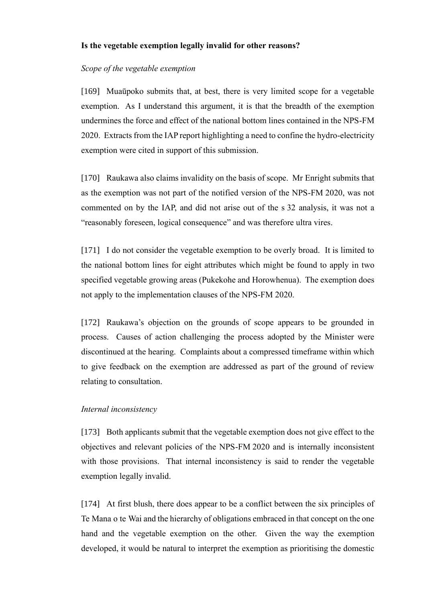## **Is the vegetable exemption legally invalid for other reasons?**

### *Scope of the vegetable exemption*

[169] Muaūpoko submits that, at best, there is very limited scope for a vegetable exemption. As I understand this argument, it is that the breadth of the exemption undermines the force and effect of the national bottom lines contained in the NPS-FM 2020. Extracts from the IAP report highlighting a need to confine the hydro-electricity exemption were cited in support of this submission.

[170] Raukawa also claims invalidity on the basis of scope. Mr Enright submits that as the exemption was not part of the notified version of the NPS-FM 2020, was not commented on by the IAP, and did not arise out of the s 32 analysis, it was not a "reasonably foreseen, logical consequence" and was therefore ultra vires.

[171] I do not consider the vegetable exemption to be overly broad. It is limited to the national bottom lines for eight attributes which might be found to apply in two specified vegetable growing areas (Pukekohe and Horowhenua). The exemption does not apply to the implementation clauses of the NPS-FM 2020.

[172] Raukawa's objection on the grounds of scope appears to be grounded in process. Causes of action challenging the process adopted by the Minister were discontinued at the hearing. Complaints about a compressed timeframe within which to give feedback on the exemption are addressed as part of the ground of review relating to consultation.

### *Internal inconsistency*

[173] Both applicants submit that the vegetable exemption does not give effect to the objectives and relevant policies of the NPS-FM 2020 and is internally inconsistent with those provisions. That internal inconsistency is said to render the vegetable exemption legally invalid.

[174] At first blush, there does appear to be a conflict between the six principles of Te Mana o te Wai and the hierarchy of obligations embraced in that concept on the one hand and the vegetable exemption on the other. Given the way the exemption developed, it would be natural to interpret the exemption as prioritising the domestic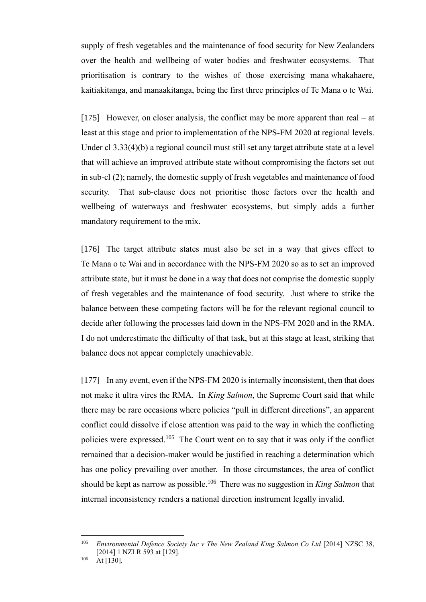supply of fresh vegetables and the maintenance of food security for New Zealanders over the health and wellbeing of water bodies and freshwater ecosystems. That prioritisation is contrary to the wishes of those exercising mana whakahaere, kaitiakitanga, and manaakitanga, being the first three principles of Te Mana o te Wai.

[175] However, on closer analysis, the conflict may be more apparent than real – at least at this stage and prior to implementation of the NPS-FM 2020 at regional levels. Under cl 3.33(4)(b) a regional council must still set any target attribute state at a level that will achieve an improved attribute state without compromising the factors set out in sub-cl (2); namely, the domestic supply of fresh vegetables and maintenance of food security. That sub-clause does not prioritise those factors over the health and wellbeing of waterways and freshwater ecosystems, but simply adds a further mandatory requirement to the mix.

[176] The target attribute states must also be set in a way that gives effect to Te Mana o te Wai and in accordance with the NPS-FM 2020 so as to set an improved attribute state, but it must be done in a way that does not comprise the domestic supply of fresh vegetables and the maintenance of food security. Just where to strike the balance between these competing factors will be for the relevant regional council to decide after following the processes laid down in the NPS-FM 2020 and in the RMA. I do not underestimate the difficulty of that task, but at this stage at least, striking that balance does not appear completely unachievable.

[177] In any event, even if the NPS-FM 2020 is internally inconsistent, then that does not make it ultra vires the RMA. In *King Salmon*, the Supreme Court said that while there may be rare occasions where policies "pull in different directions", an apparent conflict could dissolve if close attention was paid to the way in which the conflicting policies were expressed.<sup>105</sup> The Court went on to say that it was only if the conflict remained that a decision-maker would be justified in reaching a determination which has one policy prevailing over another. In those circumstances, the area of conflict should be kept as narrow as possible.<sup>106</sup> There was no suggestion in *King Salmon* that internal inconsistency renders a national direction instrument legally invalid.

<sup>&</sup>lt;sup>105</sup> *Environmental Defence Society Inc v The New Zealand King Salmon Co Ltd* [2014] NZSC 38, [2014] 1 NZLR 593 at [129].

 $106$  At [130].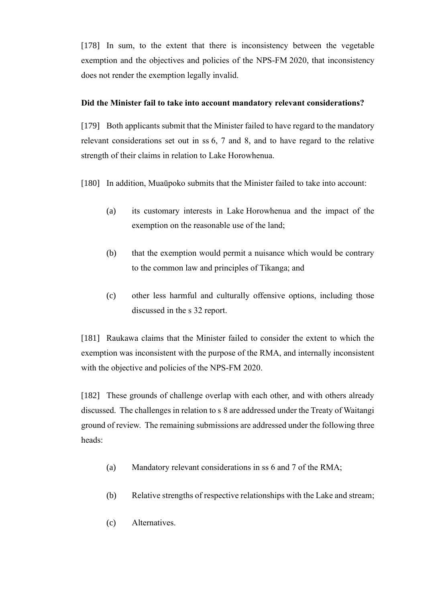[178] In sum, to the extent that there is inconsistency between the vegetable exemption and the objectives and policies of the NPS-FM 2020, that inconsistency does not render the exemption legally invalid.

# **Did the Minister fail to take into account mandatory relevant considerations?**

[179] Both applicants submit that the Minister failed to have regard to the mandatory relevant considerations set out in ss 6, 7 and 8, and to have regard to the relative strength of their claims in relation to Lake Horowhenua.

[180] In addition, Muaūpoko submits that the Minister failed to take into account:

- (a) its customary interests in Lake Horowhenua and the impact of the exemption on the reasonable use of the land;
- (b) that the exemption would permit a nuisance which would be contrary to the common law and principles of Tikanga; and
- (c) other less harmful and culturally offensive options, including those discussed in the s 32 report.

[181] Raukawa claims that the Minister failed to consider the extent to which the exemption was inconsistent with the purpose of the RMA, and internally inconsistent with the objective and policies of the NPS-FM 2020.

[182] These grounds of challenge overlap with each other, and with others already discussed. The challenges in relation to s 8 are addressed under the Treaty of Waitangi ground of review. The remaining submissions are addressed under the following three heads:

- (a) Mandatory relevant considerations in ss 6 and 7 of the RMA;
- (b) Relative strengths of respective relationships with the Lake and stream;
- (c) Alternatives.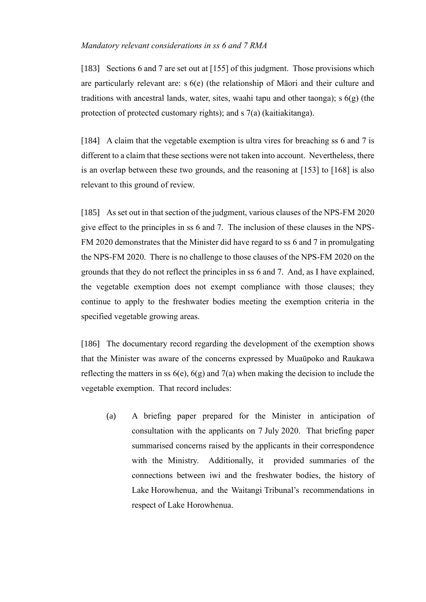## *Mandatory relevant considerations in ss 6 and 7 RMA*

[183] Sections 6 and 7 are set out at [\[155\]](#page-43-0) of this judgment. Those provisions which are particularly relevant are: s 6(e) (the relationship of Māori and their culture and traditions with ancestral lands, water, sites, waahi tapu and other taonga); s  $6(g)$  (the protection of protected customary rights); and s 7(a) (kaitiakitanga).

[184] A claim that the vegetable exemption is ultra vires for breaching ss 6 and 7 is different to a claim that these sections were not taken into account. Nevertheless, there is an overlap between these two grounds, and the reasoning at [\[153\]](#page-43-1) to [\[168\]](#page-47-0) is also relevant to this ground of review.

[185] As set out in that section of the judgment, various clauses of the NPS-FM 2020 give effect to the principles in ss 6 and 7. The inclusion of these clauses in the NPS-FM 2020 demonstrates that the Minister did have regard to ss 6 and 7 in promulgating the NPS-FM 2020. There is no challenge to those clauses of the NPS-FM 2020 on the grounds that they do not reflect the principles in ss 6 and 7. And, as I have explained, the vegetable exemption does not exempt compliance with those clauses; they continue to apply to the freshwater bodies meeting the exemption criteria in the specified vegetable growing areas.

[186] The documentary record regarding the development of the exemption shows that the Minister was aware of the concerns expressed by Muaūpoko and Raukawa reflecting the matters in ss  $6(e)$ ,  $6(g)$  and  $7(a)$  when making the decision to include the vegetable exemption. That record includes:

(a) A briefing paper prepared for the Minister in anticipation of consultation with the applicants on 7 July 2020. That briefing paper summarised concerns raised by the applicants in their correspondence with the Ministry. Additionally, it provided summaries of the connections between iwi and the freshwater bodies, the history of Lake Horowhenua, and the Waitangi Tribunal's recommendations in respect of Lake Horowhenua.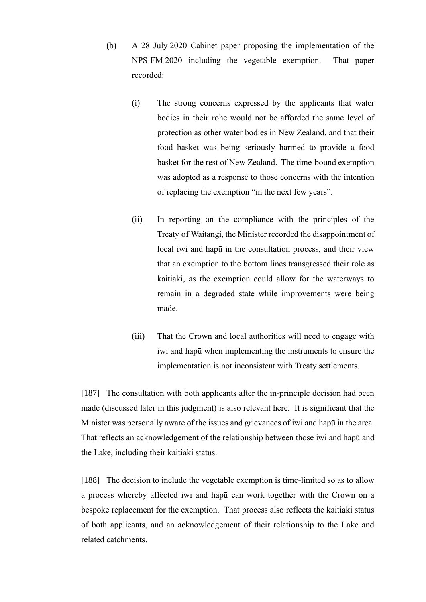- (b) A 28 July 2020 Cabinet paper proposing the implementation of the NPS-FM 2020 including the vegetable exemption. That paper recorded:
	- (i) The strong concerns expressed by the applicants that water bodies in their rohe would not be afforded the same level of protection as other water bodies in New Zealand, and that their food basket was being seriously harmed to provide a food basket for the rest of New Zealand. The time-bound exemption was adopted as a response to those concerns with the intention of replacing the exemption "in the next few years".
	- (ii) In reporting on the compliance with the principles of the Treaty of Waitangi, the Minister recorded the disappointment of local iwi and hapū in the consultation process, and their view that an exemption to the bottom lines transgressed their role as kaitiaki, as the exemption could allow for the waterways to remain in a degraded state while improvements were being made.
	- (iii) That the Crown and local authorities will need to engage with iwi and hapū when implementing the instruments to ensure the implementation is not inconsistent with Treaty settlements.

[187] The consultation with both applicants after the in-principle decision had been made (discussed later in this judgment) is also relevant here. It is significant that the Minister was personally aware of the issues and grievances of iwi and hapū in the area. That reflects an acknowledgement of the relationship between those iwi and hapū and the Lake, including their kaitiaki status.

[188] The decision to include the vegetable exemption is time-limited so as to allow a process whereby affected iwi and hapū can work together with the Crown on a bespoke replacement for the exemption. That process also reflects the kaitiaki status of both applicants, and an acknowledgement of their relationship to the Lake and related catchments.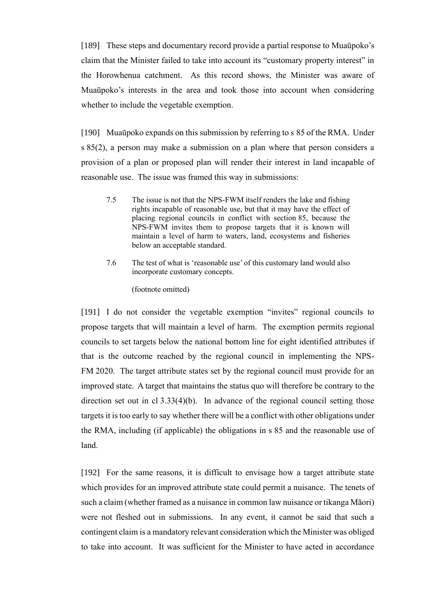[189] These steps and documentary record provide a partial response to Muaūpoko's claim that the Minister failed to take into account its "customary property interest" in the Horowhenua catchment. As this record shows, the Minister was aware of Muaūpoko's interests in the area and took those into account when considering whether to include the vegetable exemption.

[190] Muaūpoko expands on this submission by referring to s 85 of the RMA. Under s 85(2), a person may make a submission on a plan where that person considers a provision of a plan or proposed plan will render their interest in land incapable of reasonable use. The issue was framed this way in submissions:

- 7.5 The issue is not that the NPS-FWM itself renders the lake and fishing rights incapable of reasonable use, but that it may have the effect of placing regional councils in conflict with section 85, because the NPS-FWM invites them to propose targets that it is known will maintain a level of harm to waters, land, ecosystems and fisheries below an acceptable standard.
- 7.6 The test of what is 'reasonable use' of this customary land would also incorporate customary concepts.

(footnote omitted)

[191] I do not consider the vegetable exemption "invites" regional councils to propose targets that will maintain a level of harm. The exemption permits regional councils to set targets below the national bottom line for eight identified attributes if that is the outcome reached by the regional council in implementing the NPS-FM 2020. The target attribute states set by the regional council must provide for an improved state. A target that maintains the status quo will therefore be contrary to the direction set out in cl 3.33(4)(b). In advance of the regional council setting those targets it is too early to say whether there will be a conflict with other obligations under the RMA, including (if applicable) the obligations in s 85 and the reasonable use of land.

[192] For the same reasons, it is difficult to envisage how a target attribute state which provides for an improved attribute state could permit a nuisance. The tenets of such a claim (whether framed as a nuisance in common law nuisance or tikanga Māori) were not fleshed out in submissions. In any event, it cannot be said that such a contingent claim is a mandatory relevant consideration which the Minister was obliged to take into account. It was sufficient for the Minister to have acted in accordance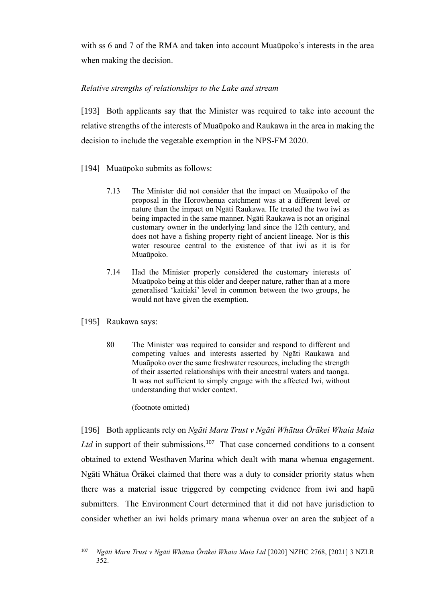with ss 6 and 7 of the RMA and taken into account Muaūpoko's interests in the area when making the decision.

# *Relative strengths of relationships to the Lake and stream*

[193] Both applicants say that the Minister was required to take into account the relative strengths of the interests of Muaūpoko and Raukawa in the area in making the decision to include the vegetable exemption in the NPS-FM 2020.

- [194] Muaūpoko submits as follows:
	- 7.13 The Minister did not consider that the impact on Muaūpoko of the proposal in the Horowhenua catchment was at a different level or nature than the impact on Ngāti Raukawa. He treated the two iwi as being impacted in the same manner. Ngāti Raukawa is not an original customary owner in the underlying land since the 12th century, and does not have a fishing property right of ancient lineage. Nor is this water resource central to the existence of that iwi as it is for Muaūpoko.
	- 7.14 Had the Minister properly considered the customary interests of Muaūpoko being at this older and deeper nature, rather than at a more generalised 'kaitiaki' level in common between the two groups, he would not have given the exemption.
- [195] Raukawa says:
	- 80 The Minister was required to consider and respond to different and competing values and interests asserted by Ngāti Raukawa and Muaūpoko over the same freshwater resources, including the strength of their asserted relationships with their ancestral waters and taonga. It was not sufficient to simply engage with the affected Iwi, without understanding that wider context.

## (footnote omitted)

[196] Both applicants rely on *Ngāti Maru Trust v Ngāti Whātua Ōrākei Whaia Maia*  Ltd in support of their submissions.<sup>107</sup> That case concerned conditions to a consent obtained to extend Westhaven Marina which dealt with mana whenua engagement. Ngāti Whātua Ōrākei claimed that there was a duty to consider priority status when there was a material issue triggered by competing evidence from iwi and hapū submitters. The Environment Court determined that it did not have jurisdiction to consider whether an iwi holds primary mana whenua over an area the subject of a

<sup>107</sup> *Ngāti Maru Trust v Ngāti Whātua Ōrākei Whaia Maia Ltd* [2020] NZHC 2768, [2021] 3 NZLR 352.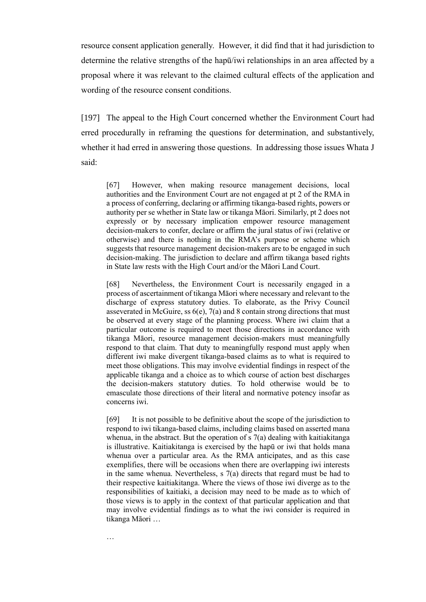resource consent application generally. However, it did find that it had jurisdiction to determine the relative strengths of the hapū/iwi relationships in an area affected by a proposal where it was relevant to the claimed cultural effects of the application and wording of the resource consent conditions.

[197] The appeal to the High Court concerned whether the Environment Court had erred procedurally in reframing the questions for determination, and substantively, whether it had erred in answering those questions. In addressing those issues Whata J said:

[67] However, when making resource management decisions, local authorities and the Environment Court are not engaged at pt 2 of the RMA in a process of conferring, declaring or affirming tikanga-based rights, powers or authority per se whether in State law or tikanga Māori. Similarly, pt 2 does not expressly or by necessary implication empower resource management decision-makers to confer, declare or affirm the jural status of iwi (relative or otherwise) and there is nothing in the RMA's purpose or scheme which suggests that resource management decision-makers are to be engaged in such decision-making. The jurisdiction to declare and affirm tikanga based rights in State law rests with the High Court and/or the Māori Land Court.

[68] Nevertheless, the Environment Court is necessarily engaged in a process of ascertainment of tikanga Māori where necessary and relevant to the discharge of express statutory duties. To elaborate, as the Privy Council asseverated in McGuire, ss  $6(e)$ ,  $7(a)$  and 8 contain strong directions that must be observed at every stage of the planning process. Where iwi claim that a particular outcome is required to meet those directions in accordance with tikanga Māori, resource management decision-makers must meaningfully respond to that claim. That duty to meaningfully respond must apply when different iwi make divergent tikanga-based claims as to what is required to meet those obligations. This may involve evidential findings in respect of the applicable tikanga and a choice as to which course of action best discharges the decision-makers statutory duties. To hold otherwise would be to emasculate those directions of their literal and normative potency insofar as concerns iwi.

[69] It is not possible to be definitive about the scope of the jurisdiction to respond to iwi tikanga-based claims, including claims based on asserted mana whenua, in the abstract. But the operation of s 7(a) dealing with kaitiakitanga is illustrative. Kaitiakitanga is exercised by the hapū or iwi that holds mana whenua over a particular area. As the RMA anticipates, and as this case exemplifies, there will be occasions when there are overlapping iwi interests in the same whenua. Nevertheless, s 7(a) directs that regard must be had to their respective kaitiakitanga. Where the views of those iwi diverge as to the responsibilities of kaitiaki, a decision may need to be made as to which of those views is to apply in the context of that particular application and that may involve evidential findings as to what the iwi consider is required in tikanga Māori …

…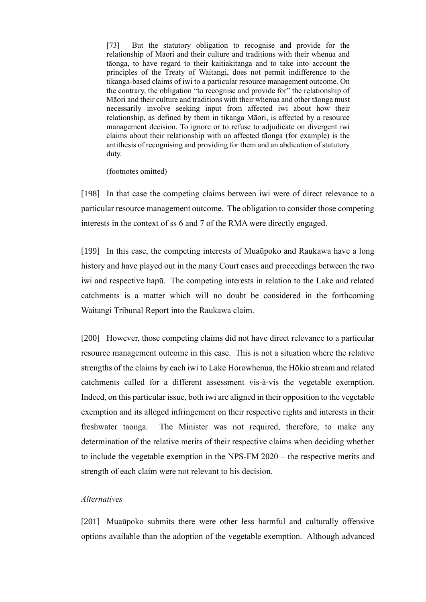[73] But the statutory obligation to recognise and provide for the relationship of Māori and their culture and traditions with their whenua and tāonga, to have regard to their kaitiakitanga and to take into account the principles of the Treaty of Waitangi, does not permit indifference to the tikanga-based claims of iwi to a particular resource management outcome. On the contrary, the obligation "to recognise and provide for" the relationship of Māori and their culture and traditions with their whenua and other tāonga must necessarily involve seeking input from affected iwi about how their relationship, as defined by them in tikanga Māori, is affected by a resource management decision. To ignore or to refuse to adjudicate on divergent iwi claims about their relationship with an affected tāonga (for example) is the antithesis of recognising and providing for them and an abdication of statutory duty.

(footnotes omitted)

[198] In that case the competing claims between iwi were of direct relevance to a particular resource management outcome. The obligation to consider those competing interests in the context of ss 6 and 7 of the RMA were directly engaged.

[199] In this case, the competing interests of Muaūpoko and Raukawa have a long history and have played out in the many Court cases and proceedings between the two iwi and respective hapū. The competing interests in relation to the Lake and related catchments is a matter which will no doubt be considered in the forthcoming Waitangi Tribunal Report into the Raukawa claim.

[200] However, those competing claims did not have direct relevance to a particular resource management outcome in this case. This is not a situation where the relative strengths of the claims by each iwi to Lake Horowhenua, the Hōkio stream and related catchments called for a different assessment vis-à-vis the vegetable exemption. Indeed, on this particular issue, both iwi are aligned in their opposition to the vegetable exemption and its alleged infringement on their respective rights and interests in their freshwater taonga. The Minister was not required, therefore, to make any determination of the relative merits of their respective claims when deciding whether to include the vegetable exemption in the NPS-FM 2020 – the respective merits and strength of each claim were not relevant to his decision.

### *Alternatives*

[201] Muaūpoko submits there were other less harmful and culturally offensive options available than the adoption of the vegetable exemption. Although advanced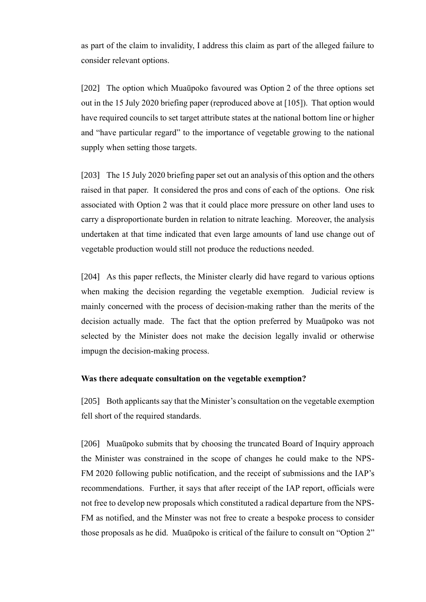as part of the claim to invalidity, I address this claim as part of the alleged failure to consider relevant options.

[202] The option which Muaūpoko favoured was Option 2 of the three options set out in the 15 July 2020 briefing paper (reproduced above at [\[105\]\)](#page-30-0). That option would have required councils to set target attribute states at the national bottom line or higher and "have particular regard" to the importance of vegetable growing to the national supply when setting those targets.

[203] The 15 July 2020 briefing paper set out an analysis of this option and the others raised in that paper. It considered the pros and cons of each of the options. One risk associated with Option 2 was that it could place more pressure on other land uses to carry a disproportionate burden in relation to nitrate leaching. Moreover, the analysis undertaken at that time indicated that even large amounts of land use change out of vegetable production would still not produce the reductions needed.

[204] As this paper reflects, the Minister clearly did have regard to various options when making the decision regarding the vegetable exemption. Judicial review is mainly concerned with the process of decision-making rather than the merits of the decision actually made. The fact that the option preferred by Muaūpoko was not selected by the Minister does not make the decision legally invalid or otherwise impugn the decision-making process.

### **Was there adequate consultation on the vegetable exemption?**

[205] Both applicants say that the Minister's consultation on the vegetable exemption fell short of the required standards.

[206] Muaūpoko submits that by choosing the truncated Board of Inquiry approach the Minister was constrained in the scope of changes he could make to the NPS-FM 2020 following public notification, and the receipt of submissions and the IAP's recommendations. Further, it says that after receipt of the IAP report, officials were not free to develop new proposals which constituted a radical departure from the NPS-FM as notified, and the Minster was not free to create a bespoke process to consider those proposals as he did. Muaūpoko is critical of the failure to consult on "Option 2"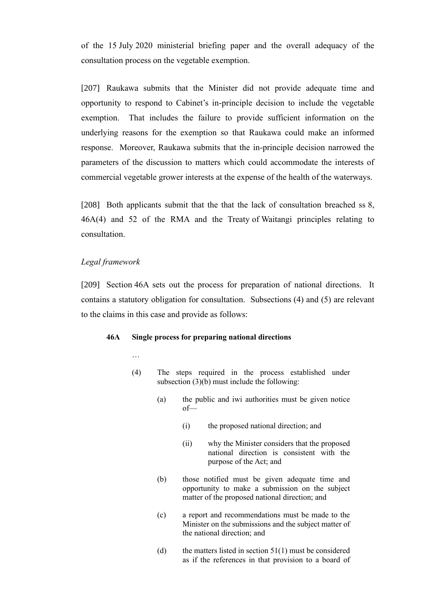of the 15 July 2020 ministerial briefing paper and the overall adequacy of the consultation process on the vegetable exemption.

[207] Raukawa submits that the Minister did not provide adequate time and opportunity to respond to Cabinet's in-principle decision to include the vegetable exemption. That includes the failure to provide sufficient information on the underlying reasons for the exemption so that Raukawa could make an informed response. Moreover, Raukawa submits that the in-principle decision narrowed the parameters of the discussion to matters which could accommodate the interests of commercial vegetable grower interests at the expense of the health of the waterways.

[208] Both applicants submit that the that the lack of consultation breached ss 8, 46A(4) and 52 of the RMA and the Treaty of Waitangi principles relating to consultation.

### *Legal framework*

…

[209] Section 46A sets out the process for preparation of national directions. It contains a statutory obligation for consultation. Subsections (4) and (5) are relevant to the claims in this case and provide as follows:

#### **46A Single process for preparing national directions**

- (4) The steps required in the process established under subsection [\(3\)\(b\)](https://www.westlaw.co.nz/maf/wlnz/app/document?docguid=I3ebc39cd2af011e79f5e87e05f05ece4&&src=rl&hitguid=I7f25b4c32aee11e79f5e87e05f05ece4&snippets=true&startChunk=1&endChunk=1&isTocNav=true&tocDs=AUNZ_NZ_LEGCOMM_TOC#anchor_I7f25b4c32aee11e79f5e87e05f05ece4) must include the following:
	- (a) the public and iwi authorities must be given notice of—
		- (i) the proposed national direction; and
		- (ii) why the Minister considers that the proposed national direction is consistent with the purpose of the Act; and
	- (b) those notified must be given adequate time and opportunity to make a submission on the subject matter of the proposed national direction; and
	- (c) a report and recommendations must be made to the Minister on the submissions and the subject matter of the national direction; and
	- (d) the matters listed in section  $51(1)$  must be considered as if the references in that provision to a board of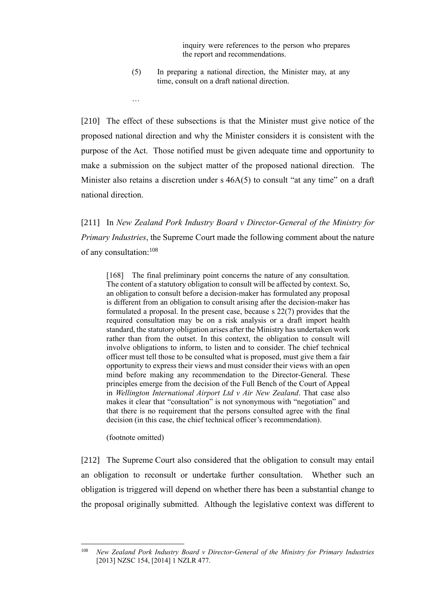inquiry were references to the person who prepares the report and recommendations.

(5) In preparing a national direction, the Minister may, at any time, consult on a draft national direction.

[210] The effect of these subsections is that the Minister must give notice of the proposed national direction and why the Minister considers it is consistent with the purpose of the Act. Those notified must be given adequate time and opportunity to make a submission on the subject matter of the proposed national direction. The Minister also retains a discretion under s  $46A(5)$  to consult "at any time" on a draft national direction.

[211] In *New Zealand Pork Industry Board v Director-General of the Ministry for Primary Industries*, the Supreme Court made the following comment about the nature of any consultation:<sup>108</sup>

[168] The final preliminary point concerns the nature of any consultation. The content of a statutory obligation to consult will be affected by context. So, an obligation to consult before a decision-maker has formulated any proposal is different from an obligation to consult arising after the decision-maker has formulated a proposal. In the present case, because s 22(7) provides that the required consultation may be on a risk analysis or a draft import health standard, the statutory obligation arises after the Ministry has undertaken work rather than from the outset. In this context, the obligation to consult will involve obligations to inform, to listen and to consider. The chief technical officer must tell those to be consulted what is proposed, must give them a fair opportunity to express their views and must consider their views with an open mind before making any recommendation to the Director-General. These principles emerge from the decision of the Full Bench of the Court of Appeal in *Wellington International Airport Ltd v Air New Zealand*. That case also makes it clear that "consultation" is not synonymous with "negotiation" and that there is no requirement that the persons consulted agree with the final decision (in this case, the chief technical officer's recommendation).

(footnote omitted)

…

[212] The Supreme Court also considered that the obligation to consult may entail an obligation to reconsult or undertake further consultation. Whether such an obligation is triggered will depend on whether there has been a substantial change to the proposal originally submitted. Although the legislative context was different to

<sup>108</sup> *New Zealand Pork Industry Board v Director-General of the Ministry for Primary Industries* [2013] NZSC 154, [2014] 1 NZLR 477.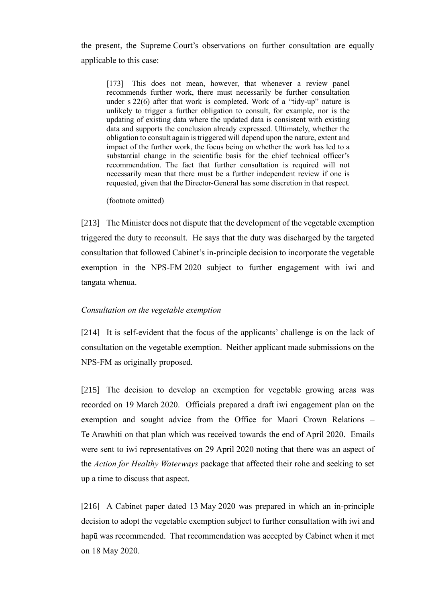the present, the Supreme Court's observations on further consultation are equally applicable to this case:

[173] This does not mean, however, that whenever a review panel recommends further work, there must necessarily be further consultation under s 22(6) after that work is completed. Work of a "tidy-up" nature is unlikely to trigger a further obligation to consult, for example, nor is the updating of existing data where the updated data is consistent with existing data and supports the conclusion already expressed. Ultimately, whether the obligation to consult again is triggered will depend upon the nature, extent and impact of the further work, the focus being on whether the work has led to a substantial change in the scientific basis for the chief technical officer's recommendation. The fact that further consultation is required will not necessarily mean that there must be a further independent review if one is requested, given that the Director-General has some discretion in that respect.

(footnote omitted)

[213] The Minister does not dispute that the development of the vegetable exemption triggered the duty to reconsult. He says that the duty was discharged by the targeted consultation that followed Cabinet's in-principle decision to incorporate the vegetable exemption in the NPS-FM 2020 subject to further engagement with iwi and tangata whenua.

### *Consultation on the vegetable exemption*

[214] It is self-evident that the focus of the applicants' challenge is on the lack of consultation on the vegetable exemption. Neither applicant made submissions on the NPS-FM as originally proposed.

[215] The decision to develop an exemption for vegetable growing areas was recorded on 19 March 2020. Officials prepared a draft iwi engagement plan on the exemption and sought advice from the Office for Maori Crown Relations – Te Arawhiti on that plan which was received towards the end of April 2020. Emails were sent to iwi representatives on 29 April 2020 noting that there was an aspect of the *Action for Healthy Waterways* package that affected their rohe and seeking to set up a time to discuss that aspect.

[216] A Cabinet paper dated 13 May 2020 was prepared in which an in-principle decision to adopt the vegetable exemption subject to further consultation with iwi and hapū was recommended. That recommendation was accepted by Cabinet when it met on 18 May 2020.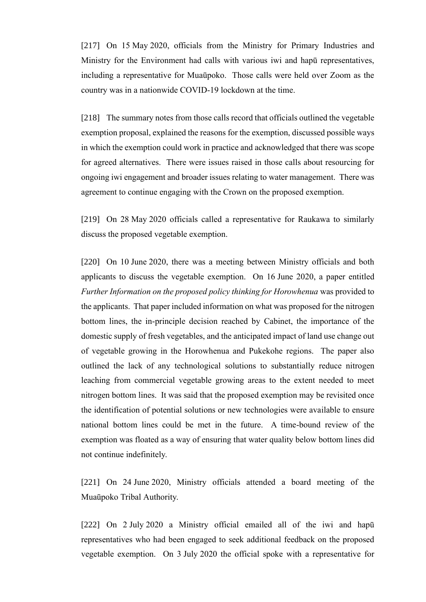[217] On 15 May 2020, officials from the Ministry for Primary Industries and Ministry for the Environment had calls with various iwi and hapū representatives, including a representative for Muaūpoko. Those calls were held over Zoom as the country was in a nationwide COVID-19 lockdown at the time.

[218] The summary notes from those calls record that officials outlined the vegetable exemption proposal, explained the reasons for the exemption, discussed possible ways in which the exemption could work in practice and acknowledged that there was scope for agreed alternatives. There were issues raised in those calls about resourcing for ongoing iwi engagement and broader issues relating to water management. There was agreement to continue engaging with the Crown on the proposed exemption.

[219] On 28 May 2020 officials called a representative for Raukawa to similarly discuss the proposed vegetable exemption.

[220] On 10 June 2020, there was a meeting between Ministry officials and both applicants to discuss the vegetable exemption. On 16 June 2020, a paper entitled *Further Information on the proposed policy thinking for Horowhenua* was provided to the applicants. That paper included information on what was proposed for the nitrogen bottom lines, the in-principle decision reached by Cabinet, the importance of the domestic supply of fresh vegetables, and the anticipated impact of land use change out of vegetable growing in the Horowhenua and Pukekohe regions. The paper also outlined the lack of any technological solutions to substantially reduce nitrogen leaching from commercial vegetable growing areas to the extent needed to meet nitrogen bottom lines. It was said that the proposed exemption may be revisited once the identification of potential solutions or new technologies were available to ensure national bottom lines could be met in the future. A time-bound review of the exemption was floated as a way of ensuring that water quality below bottom lines did not continue indefinitely.

[221] On 24 June 2020, Ministry officials attended a board meeting of the Muaūpoko Tribal Authority.

[222] On 2 July 2020 a Ministry official emailed all of the iwi and hapū representatives who had been engaged to seek additional feedback on the proposed vegetable exemption. On 3 July 2020 the official spoke with a representative for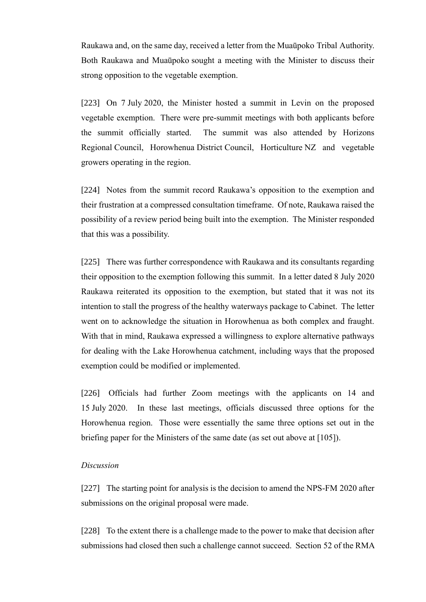Raukawa and, on the same day, received a letter from the Muaūpoko Tribal Authority. Both Raukawa and Muaūpoko sought a meeting with the Minister to discuss their strong opposition to the vegetable exemption.

[223] On 7 July 2020, the Minister hosted a summit in Levin on the proposed vegetable exemption. There were pre-summit meetings with both applicants before the summit officially started. The summit was also attended by Horizons Regional Council, Horowhenua District Council, Horticulture NZ and vegetable growers operating in the region.

[224] Notes from the summit record Raukawa's opposition to the exemption and their frustration at a compressed consultation timeframe. Of note, Raukawa raised the possibility of a review period being built into the exemption. The Minister responded that this was a possibility.

[225] There was further correspondence with Raukawa and its consultants regarding their opposition to the exemption following this summit. In a letter dated 8 July 2020 Raukawa reiterated its opposition to the exemption, but stated that it was not its intention to stall the progress of the healthy waterways package to Cabinet. The letter went on to acknowledge the situation in Horowhenua as both complex and fraught. With that in mind, Raukawa expressed a willingness to explore alternative pathways for dealing with the Lake Horowhenua catchment, including ways that the proposed exemption could be modified or implemented.

[226] Officials had further Zoom meetings with the applicants on 14 and 15 July 2020. In these last meetings, officials discussed three options for the Horowhenua region. Those were essentially the same three options set out in the briefing paper for the Ministers of the same date (as set out above at [\[105\]\)](#page-30-0).

### *Discussion*

[227] The starting point for analysis is the decision to amend the NPS-FM 2020 after submissions on the original proposal were made.

[228] To the extent there is a challenge made to the power to make that decision after submissions had closed then such a challenge cannot succeed. Section 52 of the RMA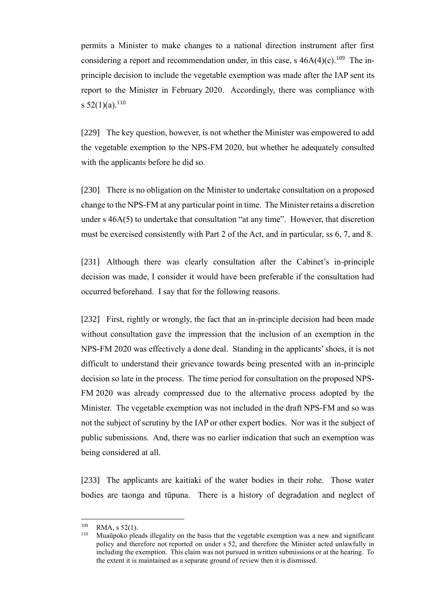permits a Minister to make changes to a national direction instrument after first considering a report and recommendation under, in this case, s  $46A(4)(c)$ .<sup>109</sup> The inprinciple decision to include the vegetable exemption was made after the IAP sent its report to the Minister in February 2020. Accordingly, there was compliance with s  $52(1)(a)$ .<sup>110</sup>

[229] The key question, however, is not whether the Minister was empowered to add the vegetable exemption to the NPS-FM 2020, but whether he adequately consulted with the applicants before he did so.

[230] There is no obligation on the Minister to undertake consultation on a proposed change to the NPS-FM at any particular point in time. The Minister retains a discretion under s 46A(5) to undertake that consultation "at any time". However, that discretion must be exercised consistently with Part 2 of the Act, and in particular, ss 6, 7, and 8.

[231] Although there was clearly consultation after the Cabinet's in-principle decision was made, I consider it would have been preferable if the consultation had occurred beforehand. I say that for the following reasons.

[232] First, rightly or wrongly, the fact that an in-principle decision had been made without consultation gave the impression that the inclusion of an exemption in the NPS-FM 2020 was effectively a done deal. Standing in the applicants' shoes, it is not difficult to understand their grievance towards being presented with an in-principle decision so late in the process. The time period for consultation on the proposed NPS-FM 2020 was already compressed due to the alternative process adopted by the Minister. The vegetable exemption was not included in the draft NPS-FM and so was not the subject of scrutiny by the IAP or other expert bodies. Nor was it the subject of public submissions. And, there was no earlier indication that such an exemption was being considered at all.

[233] The applicants are kaitiaki of the water bodies in their rohe. Those water bodies are taonga and tūpuna. There is a history of degradation and neglect of

 $^{109}$  RMA, s 52(1).

<sup>110</sup> Muaūpoko pleads illegality on the basis that the vegetable exemption was a new and significant policy and therefore not reported on under s 52, and therefore the Minister acted unlawfully in including the exemption. This claim was not pursued in written submissions or at the hearing. To the extent it is maintained as a separate ground of review then it is dismissed.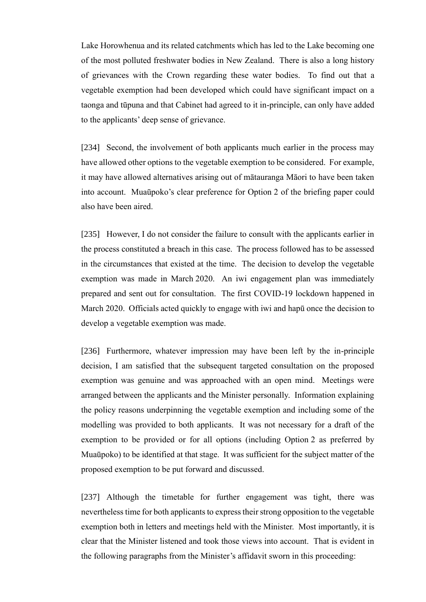Lake Horowhenua and its related catchments which has led to the Lake becoming one of the most polluted freshwater bodies in New Zealand. There is also a long history of grievances with the Crown regarding these water bodies. To find out that a vegetable exemption had been developed which could have significant impact on a taonga and tūpuna and that Cabinet had agreed to it in-principle, can only have added to the applicants' deep sense of grievance.

[234] Second, the involvement of both applicants much earlier in the process may have allowed other options to the vegetable exemption to be considered. For example, it may have allowed alternatives arising out of mātauranga Māori to have been taken into account. Muaūpoko's clear preference for Option 2 of the briefing paper could also have been aired.

[235] However, I do not consider the failure to consult with the applicants earlier in the process constituted a breach in this case. The process followed has to be assessed in the circumstances that existed at the time. The decision to develop the vegetable exemption was made in March 2020. An iwi engagement plan was immediately prepared and sent out for consultation. The first COVID-19 lockdown happened in March 2020. Officials acted quickly to engage with iwi and hapū once the decision to develop a vegetable exemption was made.

[236] Furthermore, whatever impression may have been left by the in-principle decision, I am satisfied that the subsequent targeted consultation on the proposed exemption was genuine and was approached with an open mind. Meetings were arranged between the applicants and the Minister personally. Information explaining the policy reasons underpinning the vegetable exemption and including some of the modelling was provided to both applicants. It was not necessary for a draft of the exemption to be provided or for all options (including Option 2 as preferred by Muaūpoko) to be identified at that stage. It was sufficient for the subject matter of the proposed exemption to be put forward and discussed.

[237] Although the timetable for further engagement was tight, there was nevertheless time for both applicants to express their strong opposition to the vegetable exemption both in letters and meetings held with the Minister. Most importantly, it is clear that the Minister listened and took those views into account. That is evident in the following paragraphs from the Minister's affidavit sworn in this proceeding: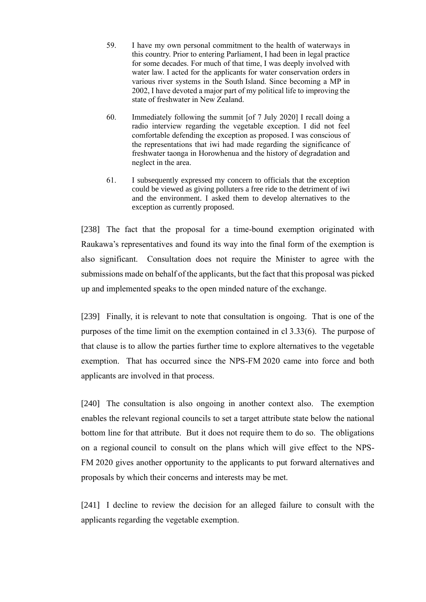59. I have my own personal commitment to the health of waterways in this country. Prior to entering Parliament, I had been in legal practice for some decades. For much of that time, I was deeply involved with water law. I acted for the applicants for water conservation orders in various river systems in the South Island. Since becoming a MP in 2002, I have devoted a major part of my political life to improving the state of freshwater in New Zealand.

60. Immediately following the summit [of 7 July 2020] I recall doing a radio interview regarding the vegetable exception. I did not feel comfortable defending the exception as proposed. I was conscious of the representations that iwi had made regarding the significance of freshwater taonga in Horowhenua and the history of degradation and neglect in the area.

61. I subsequently expressed my concern to officials that the exception could be viewed as giving polluters a free ride to the detriment of iwi and the environment. I asked them to develop alternatives to the exception as currently proposed.

[238] The fact that the proposal for a time-bound exemption originated with Raukawa's representatives and found its way into the final form of the exemption is also significant. Consultation does not require the Minister to agree with the submissions made on behalf of the applicants, but the fact that this proposal was picked up and implemented speaks to the open minded nature of the exchange.

[239] Finally, it is relevant to note that consultation is ongoing. That is one of the purposes of the time limit on the exemption contained in cl 3.33(6). The purpose of that clause is to allow the parties further time to explore alternatives to the vegetable exemption. That has occurred since the NPS-FM 2020 came into force and both applicants are involved in that process.

[240] The consultation is also ongoing in another context also. The exemption enables the relevant regional councils to set a target attribute state below the national bottom line for that attribute. But it does not require them to do so. The obligations on a regional council to consult on the plans which will give effect to the NPS-FM 2020 gives another opportunity to the applicants to put forward alternatives and proposals by which their concerns and interests may be met.

[241] I decline to review the decision for an alleged failure to consult with the applicants regarding the vegetable exemption.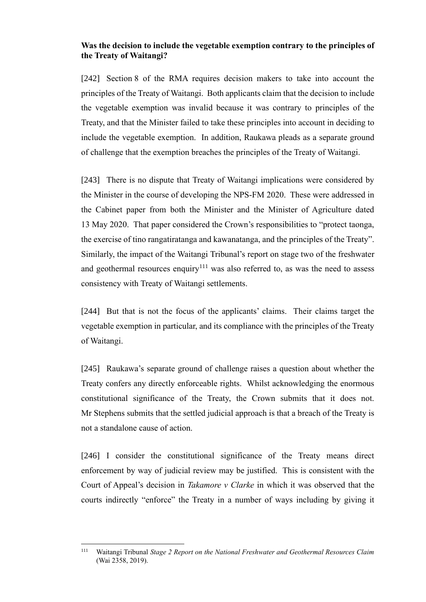# **Was the decision to include the vegetable exemption contrary to the principles of the Treaty of Waitangi?**

[242] Section 8 of the RMA requires decision makers to take into account the principles of the Treaty of Waitangi. Both applicants claim that the decision to include the vegetable exemption was invalid because it was contrary to principles of the Treaty, and that the Minister failed to take these principles into account in deciding to include the vegetable exemption. In addition, Raukawa pleads as a separate ground of challenge that the exemption breaches the principles of the Treaty of Waitangi.

[243] There is no dispute that Treaty of Waitangi implications were considered by the Minister in the course of developing the NPS-FM 2020. These were addressed in the Cabinet paper from both the Minister and the Minister of Agriculture dated 13 May 2020. That paper considered the Crown's responsibilities to "protect taonga, the exercise of tino rangatiratanga and kawanatanga, and the principles of the Treaty". Similarly, the impact of the Waitangi Tribunal's report on stage two of the freshwater and geothermal resources enquiry<sup>111</sup> was also referred to, as was the need to assess consistency with Treaty of Waitangi settlements.

[244] But that is not the focus of the applicants' claims. Their claims target the vegetable exemption in particular, and its compliance with the principles of the Treaty of Waitangi.

[245] Raukawa's separate ground of challenge raises a question about whether the Treaty confers any directly enforceable rights. Whilst acknowledging the enormous constitutional significance of the Treaty, the Crown submits that it does not. Mr Stephens submits that the settled judicial approach is that a breach of the Treaty is not a standalone cause of action.

[246] I consider the constitutional significance of the Treaty means direct enforcement by way of judicial review may be justified. This is consistent with the Court of Appeal's decision in *Takamore v Clarke* in which it was observed that the courts indirectly "enforce" the Treaty in a number of ways including by giving it

<sup>111</sup> Waitangi Tribunal *Stage 2 Report on the National Freshwater and Geothermal Resources Claim* (Wai 2358, 2019).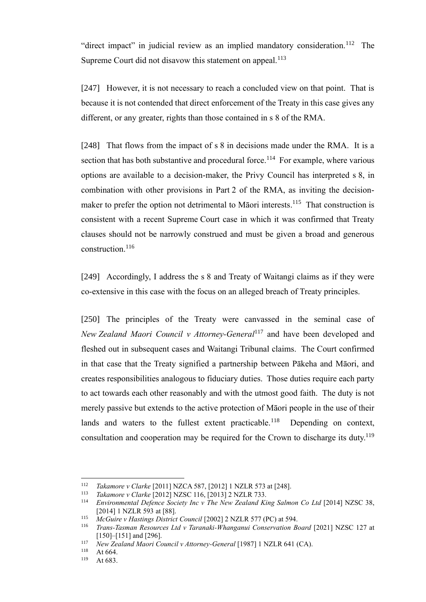"direct impact" in judicial review as an implied mandatory consideration.<sup>112</sup> The Supreme Court did not disavow this statement on appeal.<sup>113</sup>

[247] However, it is not necessary to reach a concluded view on that point. That is because it is not contended that direct enforcement of the Treaty in this case gives any different, or any greater, rights than those contained in s 8 of the RMA.

[248] That flows from the impact of s 8 in decisions made under the RMA. It is a section that has both substantive and procedural force.<sup>114</sup> For example, where various options are available to a decision-maker, the Privy Council has interpreted s 8, in combination with other provisions in Part 2 of the RMA, as inviting the decisionmaker to prefer the option not detrimental to Māori interests.<sup>115</sup> That construction is consistent with a recent Supreme Court case in which it was confirmed that Treaty clauses should not be narrowly construed and must be given a broad and generous construction.<sup>116</sup>

[249] Accordingly, I address the s 8 and Treaty of Waitangi claims as if they were co-extensive in this case with the focus on an alleged breach of Treaty principles.

[250] The principles of the Treaty were canvassed in the seminal case of *New Zealand Maori Council v Attorney-General*<sup>117</sup> and have been developed and fleshed out in subsequent cases and Waitangi Tribunal claims. The Court confirmed in that case that the Treaty signified a partnership between Pākeha and Māori, and creates responsibilities analogous to fiduciary duties. Those duties require each party to act towards each other reasonably and with the utmost good faith. The duty is not merely passive but extends to the active protection of Māori people in the use of their lands and waters to the fullest extent practicable.<sup>118</sup> Depending on context, consultation and cooperation may be required for the Crown to discharge its duty.<sup>119</sup>

<sup>112</sup> *Takamore v Clarke* [2011] NZCA 587, [2012] 1 NZLR 573 at [248].

<sup>113</sup> *Takamore v Clarke* [2012] NZSC 116, [2013] 2 NZLR 733.

<sup>114</sup> *Environmental Defence Society Inc v The New Zealand King Salmon Co Ltd* [2014] NZSC 38, [2014] 1 NZLR 593 at [88].

<sup>115</sup> *McGuire v Hastings District Council* [2002] 2 NZLR 577 (PC) at 594.

<sup>&</sup>lt;sup>116</sup> *Trans-Tasman Resources Ltd v Taranaki-Whanganui Conservation Board* [2021] NZSC 127 at [150]–[151] and [296].

<sup>&</sup>lt;sup>117</sup> *New Zealand Maori Council v Attorney-General* [1987] 1 NZLR 641 (CA).

 $118$  At 664.

At 683.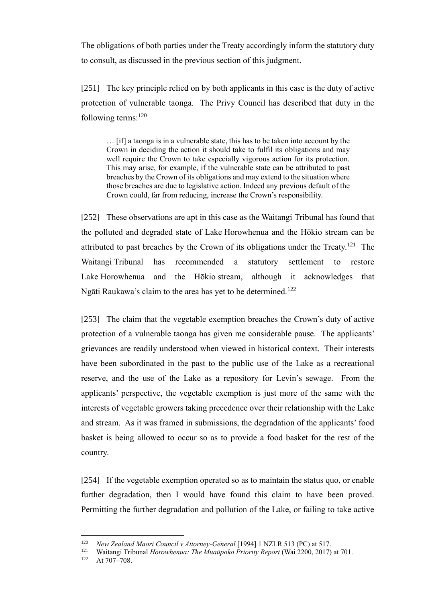The obligations of both parties under the Treaty accordingly inform the statutory duty to consult, as discussed in the previous section of this judgment.

[251] The key principle relied on by both applicants in this case is the duty of active protection of vulnerable taonga. The Privy Council has described that duty in the following terms: $120$ 

… [if] a taonga is in a vulnerable state, this has to be taken into account by the Crown in deciding the action it should take to fulfil its obligations and may well require the Crown to take especially vigorous action for its protection. This may arise, for example, if the vulnerable state can be attributed to past breaches by the Crown of its obligations and may extend to the situation where those breaches are due to legislative action. Indeed any previous default of the Crown could, far from reducing, increase the Crown's responsibility.

[252] These observations are apt in this case as the Waitangi Tribunal has found that the polluted and degraded state of Lake Horowhenua and the Hōkio stream can be attributed to past breaches by the Crown of its obligations under the Treaty.<sup>121</sup> The Waitangi Tribunal has recommended a statutory settlement to restore Lake Horowhenua and the Hōkio stream, although it acknowledges that Ngāti Raukawa's claim to the area has yet to be determined.<sup>122</sup>

[253] The claim that the vegetable exemption breaches the Crown's duty of active protection of a vulnerable taonga has given me considerable pause. The applicants' grievances are readily understood when viewed in historical context. Their interests have been subordinated in the past to the public use of the Lake as a recreational reserve, and the use of the Lake as a repository for Levin's sewage. From the applicants' perspective, the vegetable exemption is just more of the same with the interests of vegetable growers taking precedence over their relationship with the Lake and stream. As it was framed in submissions, the degradation of the applicants' food basket is being allowed to occur so as to provide a food basket for the rest of the country.

[254] If the vegetable exemption operated so as to maintain the status quo, or enable further degradation, then I would have found this claim to have been proved. Permitting the further degradation and pollution of the Lake, or failing to take active

<sup>120</sup> *New Zealand Maori Council v Attorney-General* [1994] 1 NZLR 513 (PC) at 517.

<sup>1&</sup>lt;sup>21</sup> Waitangi Tribunal *Horowhenua: The Muaūpoko Priority Report* (Wai 2200, 2017) at 701.<br>1<sup>22</sup> At 707, 708

At 707–708.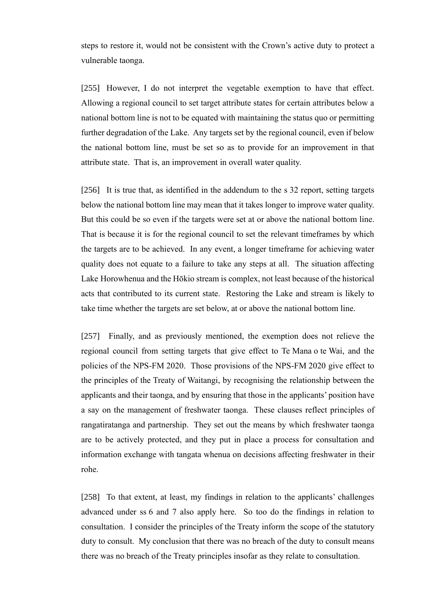steps to restore it, would not be consistent with the Crown's active duty to protect a vulnerable taonga.

[255] However, I do not interpret the vegetable exemption to have that effect. Allowing a regional council to set target attribute states for certain attributes below a national bottom line is not to be equated with maintaining the status quo or permitting further degradation of the Lake. Any targets set by the regional council, even if below the national bottom line, must be set so as to provide for an improvement in that attribute state. That is, an improvement in overall water quality.

[256] It is true that, as identified in the addendum to the s 32 report, setting targets below the national bottom line may mean that it takes longer to improve water quality. But this could be so even if the targets were set at or above the national bottom line. That is because it is for the regional council to set the relevant timeframes by which the targets are to be achieved. In any event, a longer timeframe for achieving water quality does not equate to a failure to take any steps at all. The situation affecting Lake Horowhenua and the Hōkio stream is complex, not least because of the historical acts that contributed to its current state. Restoring the Lake and stream is likely to take time whether the targets are set below, at or above the national bottom line.

[257] Finally, and as previously mentioned, the exemption does not relieve the regional council from setting targets that give effect to Te Mana o te Wai, and the policies of the NPS-FM 2020. Those provisions of the NPS-FM 2020 give effect to the principles of the Treaty of Waitangi, by recognising the relationship between the applicants and their taonga, and by ensuring that those in the applicants' position have a say on the management of freshwater taonga. These clauses reflect principles of rangatiratanga and partnership. They set out the means by which freshwater taonga are to be actively protected, and they put in place a process for consultation and information exchange with tangata whenua on decisions affecting freshwater in their rohe.

[258] To that extent, at least, my findings in relation to the applicants' challenges advanced under ss 6 and 7 also apply here. So too do the findings in relation to consultation. I consider the principles of the Treaty inform the scope of the statutory duty to consult. My conclusion that there was no breach of the duty to consult means there was no breach of the Treaty principles insofar as they relate to consultation.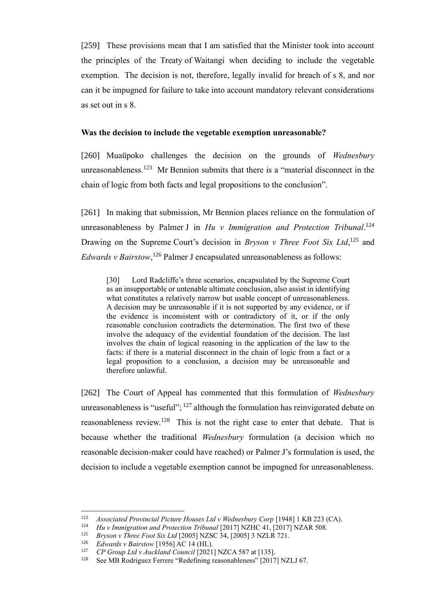[259] These provisions mean that I am satisfied that the Minister took into account the principles of the Treaty of Waitangi when deciding to include the vegetable exemption. The decision is not, therefore, legally invalid for breach of s 8, and nor can it be impugned for failure to take into account mandatory relevant considerations as set out in s 8.

### **Was the decision to include the vegetable exemption unreasonable?**

[260] Muaūpoko challenges the decision on the grounds of *Wednesbury*  unreasonableness.<sup>123</sup> Mr Bennion submits that there is a "material disconnect in the chain of logic from both facts and legal propositions to the conclusion".

[261] In making that submission, Mr Bennion places reliance on the formulation of unreasonableness by Palmer J in *Hu v Immigration and Protection Tribunal*. 124 Drawing on the Supreme Court's decision in *Bryson v Three Foot Six Ltd*,<sup>125</sup> and Edwards v Bairstow,<sup>126</sup> Palmer J encapsulated unreasonableness as follows:

[30] Lord Radcliffe's three scenarios, encapsulated by the Supreme Court as an insupportable or untenable ultimate conclusion, also assist in identifying what constitutes a relatively narrow but usable concept of unreasonableness. A decision may be unreasonable if it is not supported by any evidence, or if the evidence is inconsistent with or contradictory of it, or if the only reasonable conclusion contradicts the determination. The first two of these involve the adequacy of the evidential foundation of the decision. The last involves the chain of logical reasoning in the application of the law to the facts: if there is a material disconnect in the chain of logic from a fact or a legal proposition to a conclusion, a decision may be unreasonable and therefore unlawful.

[262] The Court of Appeal has commented that this formulation of *Wednesbury* unreasonableness is "useful";  $^{127}$  although the formulation has reinvigorated debate on reasonableness review.<sup>128</sup> This is not the right case to enter that debate. That is because whether the traditional *Wednesbury* formulation (a decision which no reasonable decision-maker could have reached) or Palmer J's formulation is used, the decision to include a vegetable exemption cannot be impugned for unreasonableness.

<sup>&</sup>lt;sup>123</sup> *Associated Provincial Picture Houses Ltd v Wednesbury Corp* [1948] 1 KB 223 (CA).

<sup>&</sup>lt;sup>124</sup> *Hu v Immigration and Protection Tribunal* [2017] NZHC 41, [2017] NZAR 508.<br><sup>125</sup> *Bruson v Three Eoot Six Ltd* [2005] NZSC 34, [2005] 3 NZL P 721

<sup>125</sup> *Bryson v Three Foot Six Ltd* [2005] NZSC 34, [2005] 3 NZLR 721.

<sup>126</sup> *Edwards v Bairstow* [1956] AC 14 (HL).

<sup>127</sup> *CP Group Ltd v Auckland Council* [2021] NZCA 587 at [135].

<sup>128</sup> See MB Rodriguez Ferrere "Redefining reasonableness" [2017] NZLJ 67.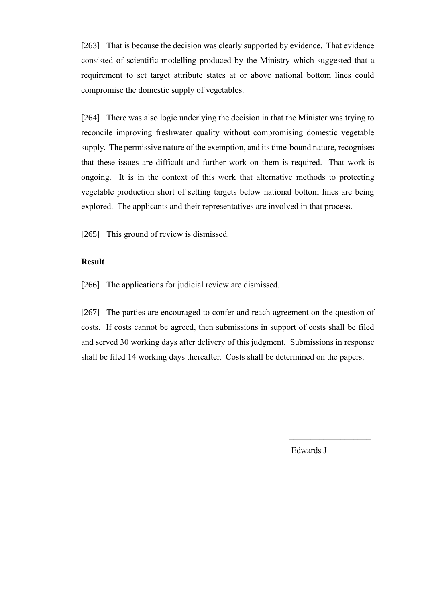[263] That is because the decision was clearly supported by evidence. That evidence consisted of scientific modelling produced by the Ministry which suggested that a requirement to set target attribute states at or above national bottom lines could compromise the domestic supply of vegetables.

[264] There was also logic underlying the decision in that the Minister was trying to reconcile improving freshwater quality without compromising domestic vegetable supply. The permissive nature of the exemption, and its time-bound nature, recognises that these issues are difficult and further work on them is required. That work is ongoing. It is in the context of this work that alternative methods to protecting vegetable production short of setting targets below national bottom lines are being explored. The applicants and their representatives are involved in that process.

[265] This ground of review is dismissed.

# **Result**

[266] The applications for judicial review are dismissed.

[267] The parties are encouraged to confer and reach agreement on the question of costs. If costs cannot be agreed, then submissions in support of costs shall be filed and served 30 working days after delivery of this judgment. Submissions in response shall be filed 14 working days thereafter. Costs shall be determined on the papers.

Edwards J